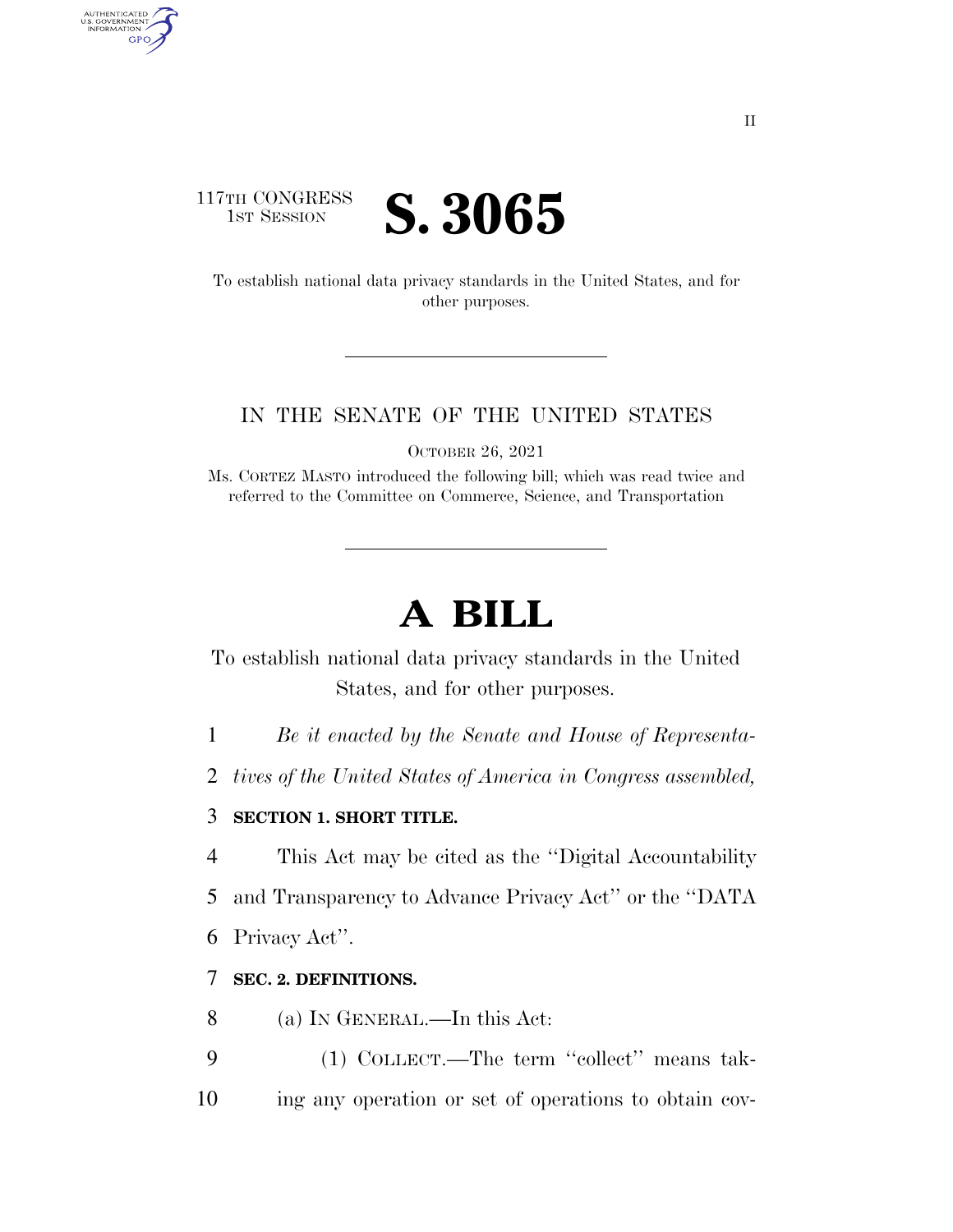# 117TH CONGRESS **IST SESSION S. 3065**

AUTHENTICATED<br>U.S. GOVERNMENT<br>INFORMATION

**GPO** 

To establish national data privacy standards in the United States, and for other purposes.

#### IN THE SENATE OF THE UNITED STATES

OCTOBER 26, 2021

Ms. CORTEZ MASTO introduced the following bill; which was read twice and referred to the Committee on Commerce, Science, and Transportation

# **A BILL**

To establish national data privacy standards in the United States, and for other purposes.

1 *Be it enacted by the Senate and House of Representa-*

2 *tives of the United States of America in Congress assembled,* 

#### 3 **SECTION 1. SHORT TITLE.**

4 This Act may be cited as the ''Digital Accountability

5 and Transparency to Advance Privacy Act'' or the ''DATA

6 Privacy Act''.

### 7 **SEC. 2. DEFINITIONS.**

- 8 (a) IN GENERAL.—In this Act:
- 9 (1) COLLECT.—The term ''collect'' means tak-10 ing any operation or set of operations to obtain cov-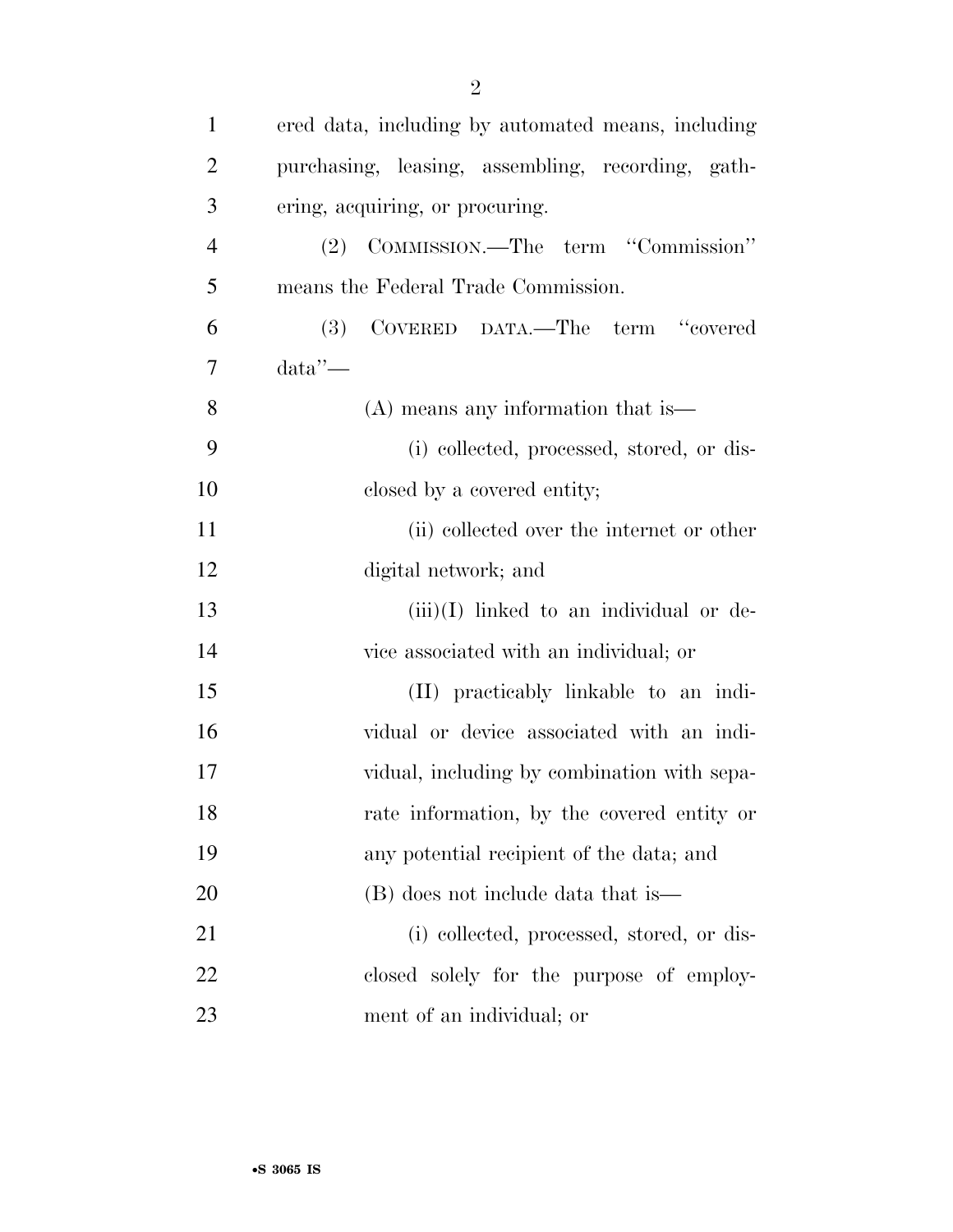| $\mathbf{1}$   | ered data, including by automated means, including |
|----------------|----------------------------------------------------|
| $\overline{2}$ | purchasing, leasing, assembling, recording, gath-  |
| 3              | ering, acquiring, or procuring.                    |
| $\overline{4}$ | (2) COMMISSION.—The term "Commission"              |
| 5              | means the Federal Trade Commission.                |
| 6              | COVERED DATA.—The term "covered<br>(3)             |
| 7              | data'                                              |
| 8              | $(A)$ means any information that is —              |
| 9              | (i) collected, processed, stored, or dis-          |
| 10             | closed by a covered entity;                        |
| 11             | (ii) collected over the internet or other          |
| 12             | digital network; and                               |
| 13             | $(iii)(I)$ linked to an individual or de-          |
| 14             | vice associated with an individual; or             |
| 15             | (II) practicably linkable to an indi-              |
| 16             | vidual or device associated with an indi-          |
| 17             | vidual, including by combination with sepa-        |
| 18             | rate information, by the covered entity or         |
| 19             | any potential recipient of the data; and           |
| 20             | (B) does not include data that is                  |
| 21             | (i) collected, processed, stored, or dis-          |
| 22             | closed solely for the purpose of employ-           |
| 23             | ment of an individual; or                          |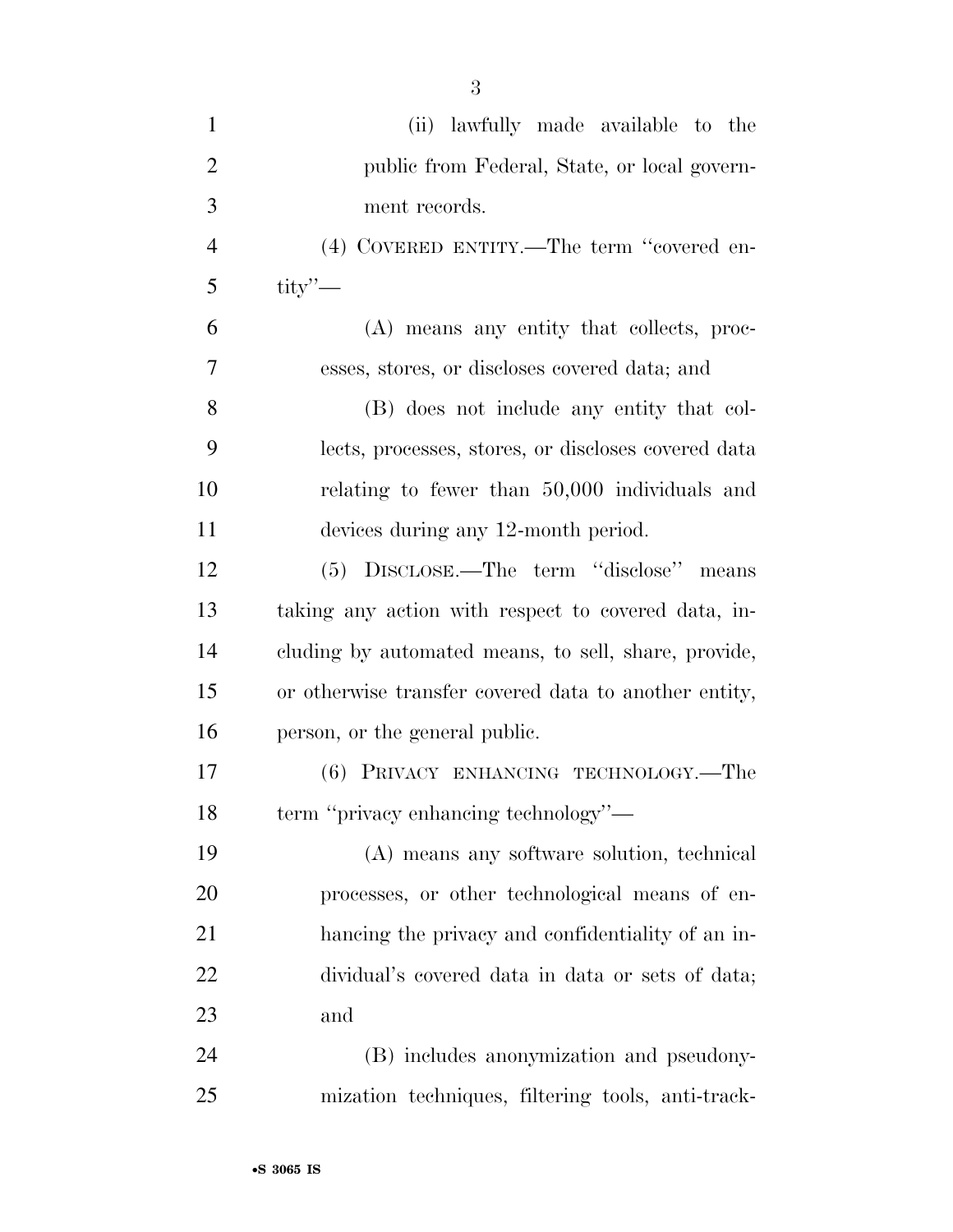| $\mathbf{1}$   | (ii) lawfully made available to the                   |
|----------------|-------------------------------------------------------|
| $\overline{2}$ | public from Federal, State, or local govern-          |
| 3              | ment records.                                         |
| $\overline{4}$ | (4) COVERED ENTITY.—The term "covered en-             |
| 5              | $\text{tity}$ $\sim$                                  |
| 6              | (A) means any entity that collects, proc-             |
| 7              | esses, stores, or discloses covered data; and         |
| 8              | (B) does not include any entity that col-             |
| 9              | lects, processes, stores, or discloses covered data   |
| 10             | relating to fewer than 50,000 individuals and         |
| 11             | devices during any 12-month period.                   |
| 12             | (5) DISCLOSE.—The term "disclose" means               |
| 13             | taking any action with respect to covered data, in-   |
| 14             | cluding by automated means, to sell, share, provide,  |
| 15             | or otherwise transfer covered data to another entity, |
| 16             | person, or the general public.                        |
| 17             | (6) PRIVACY ENHANCING TECHNOLOGY.—The                 |
| 18             | term "privacy enhancing technology"—                  |
| 19             | (A) means any software solution, technical            |
| 20             | processes, or other technological means of en-        |
| 21             | hanging the privacy and confidentiality of an in-     |
| 22             | dividual's covered data in data or sets of data;      |
| 23             | and                                                   |
| 24             | (B) includes anonymization and pseudony-              |
| 25             | mization techniques, filtering tools, anti-track-     |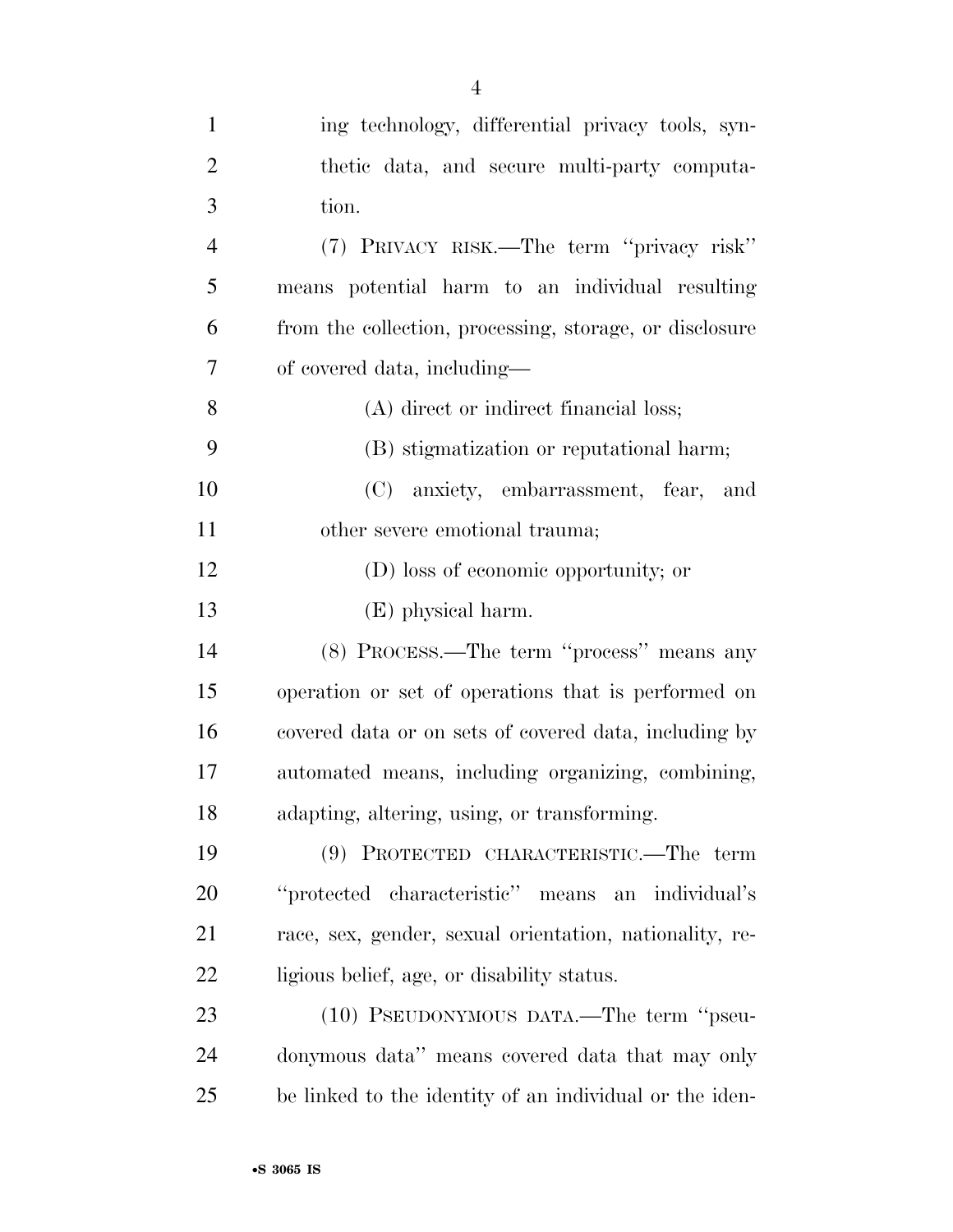| $\mathbf{1}$   | ing technology, differential privacy tools, syn-        |
|----------------|---------------------------------------------------------|
| $\overline{2}$ | thetic data, and secure multi-party computa-            |
| 3              | tion.                                                   |
| $\overline{4}$ | (7) PRIVACY RISK.—The term "privacy risk"               |
| 5              | means potential harm to an individual resulting         |
| 6              | from the collection, processing, storage, or disclosure |
| 7              | of covered data, including—                             |
| 8              | (A) direct or indirect financial loss;                  |
| 9              | (B) stigmatization or reputational harm;                |
| 10             | (C) anxiety, embarrassment, fear, and                   |
| 11             | other severe emotional trauma;                          |
| 12             | (D) loss of economic opportunity; or                    |
| 13             | (E) physical harm.                                      |
| 14             | (8) PROCESS.—The term "process" means any               |
| 15             | operation or set of operations that is performed on     |
| 16             | covered data or on sets of covered data, including by   |
| 17             | automated means, including organizing, combining,       |
| 18             | adapting, altering, using, or transforming.             |
| 19             | (9) PROTECTED CHARACTERISTIC.—The term                  |
| 20             | "protected characteristic" means an individual's        |
| 21             | race, sex, gender, sexual orientation, nationality, re- |
| 22             | ligious belief, age, or disability status.              |
| 23             | (10) PSEUDONYMOUS DATA.—The term "pseu-                 |
| 24             | donymous data" means covered data that may only         |
| 25             | be linked to the identity of an individual or the iden- |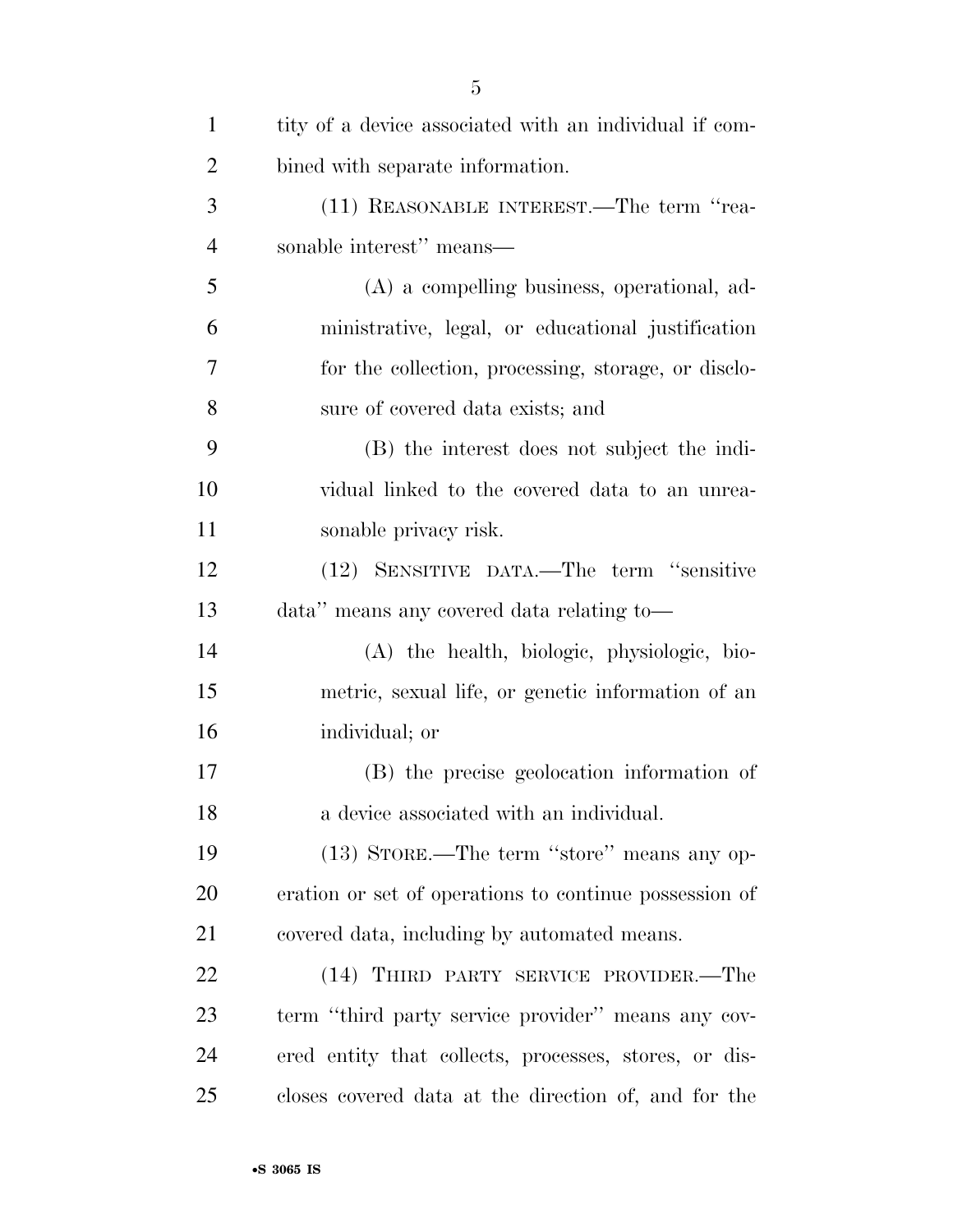| $\mathbf{1}$   | tity of a device associated with an individual if com- |
|----------------|--------------------------------------------------------|
| $\overline{2}$ | bined with separate information.                       |
| 3              | (11) REASONABLE INTEREST.—The term "rea-               |
| $\overline{4}$ | sonable interest" means—                               |
| 5              | (A) a compelling business, operational, ad-            |
| 6              | ministrative, legal, or educational justification      |
| 7              | for the collection, processing, storage, or disclo-    |
| 8              | sure of covered data exists; and                       |
| 9              | (B) the interest does not subject the indi-            |
| 10             | vidual linked to the covered data to an unrea-         |
| 11             | sonable privacy risk.                                  |
| 12             | (12) SENSITIVE DATA.—The term "sensitive               |
| 13             | data" means any covered data relating to-              |
| 14             | (A) the health, biologic, physiologic, bio-            |
| 15             | metric, sexual life, or genetic information of an      |
| 16             | individual; or                                         |
| 17             | (B) the precise geolocation information of             |
| 18             | a device associated with an individual.                |
| 19             | (13) STORE.—The term "store" means any op-             |
| 20             | eration or set of operations to continue possession of |
| 21             | covered data, including by automated means.            |
| 22             | (14) THIRD PARTY SERVICE PROVIDER.—The                 |
| 23             | term "third party service provider" means any cov-     |
| 24             | ered entity that collects, processes, stores, or dis-  |
| 25             | closes covered data at the direction of, and for the   |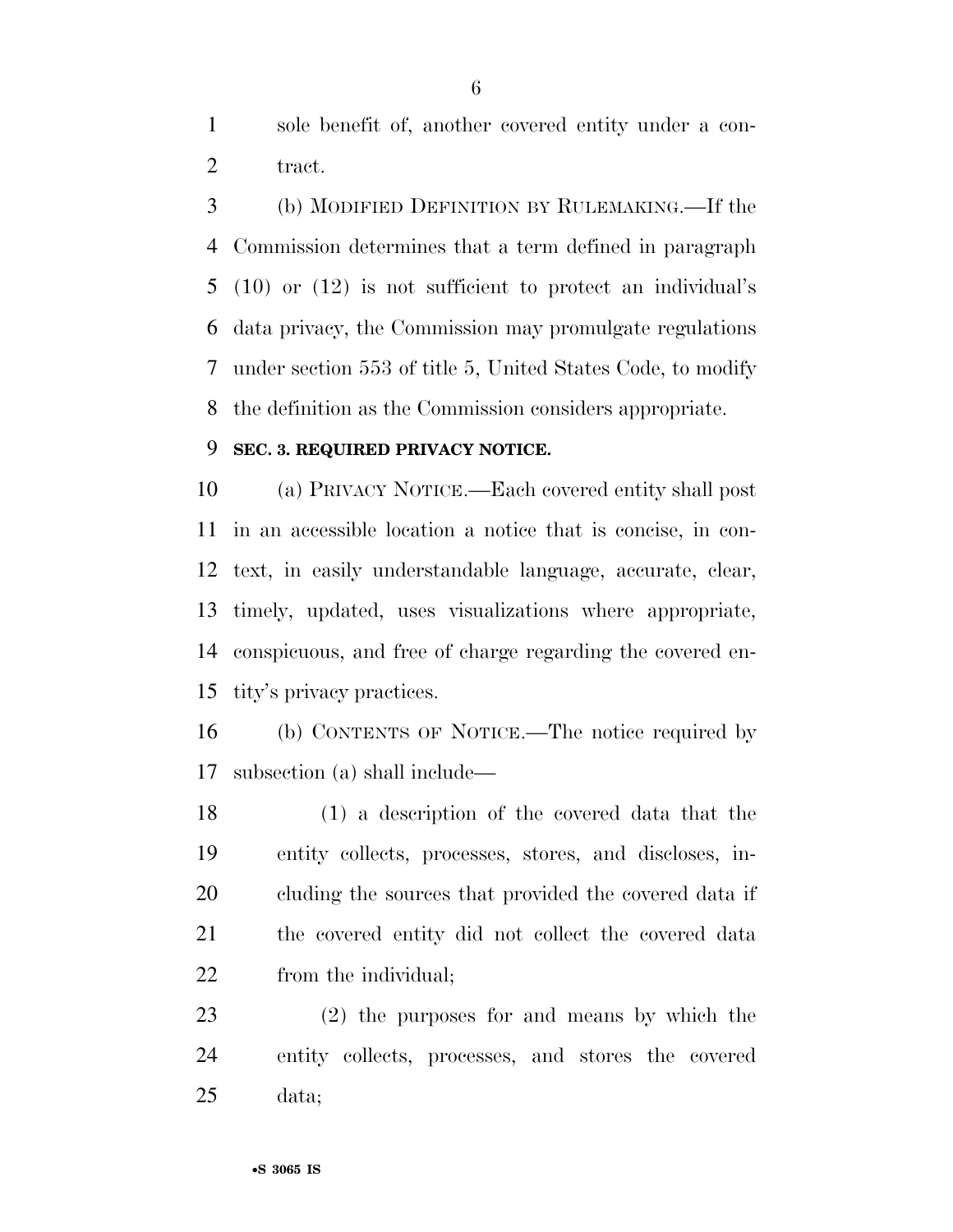sole benefit of, another covered entity under a con-2 tract.

 (b) MODIFIED DEFINITION BY RULEMAKING.—If the Commission determines that a term defined in paragraph (10) or (12) is not sufficient to protect an individual's data privacy, the Commission may promulgate regulations under section 553 of title 5, United States Code, to modify the definition as the Commission considers appropriate.

#### **SEC. 3. REQUIRED PRIVACY NOTICE.**

 (a) PRIVACY NOTICE.—Each covered entity shall post in an accessible location a notice that is concise, in con- text, in easily understandable language, accurate, clear, timely, updated, uses visualizations where appropriate, conspicuous, and free of charge regarding the covered en-tity's privacy practices.

 (b) CONTENTS OF NOTICE.—The notice required by subsection (a) shall include—

 (1) a description of the covered data that the entity collects, processes, stores, and discloses, in- cluding the sources that provided the covered data if the covered entity did not collect the covered data from the individual;

 (2) the purposes for and means by which the entity collects, processes, and stores the covered data;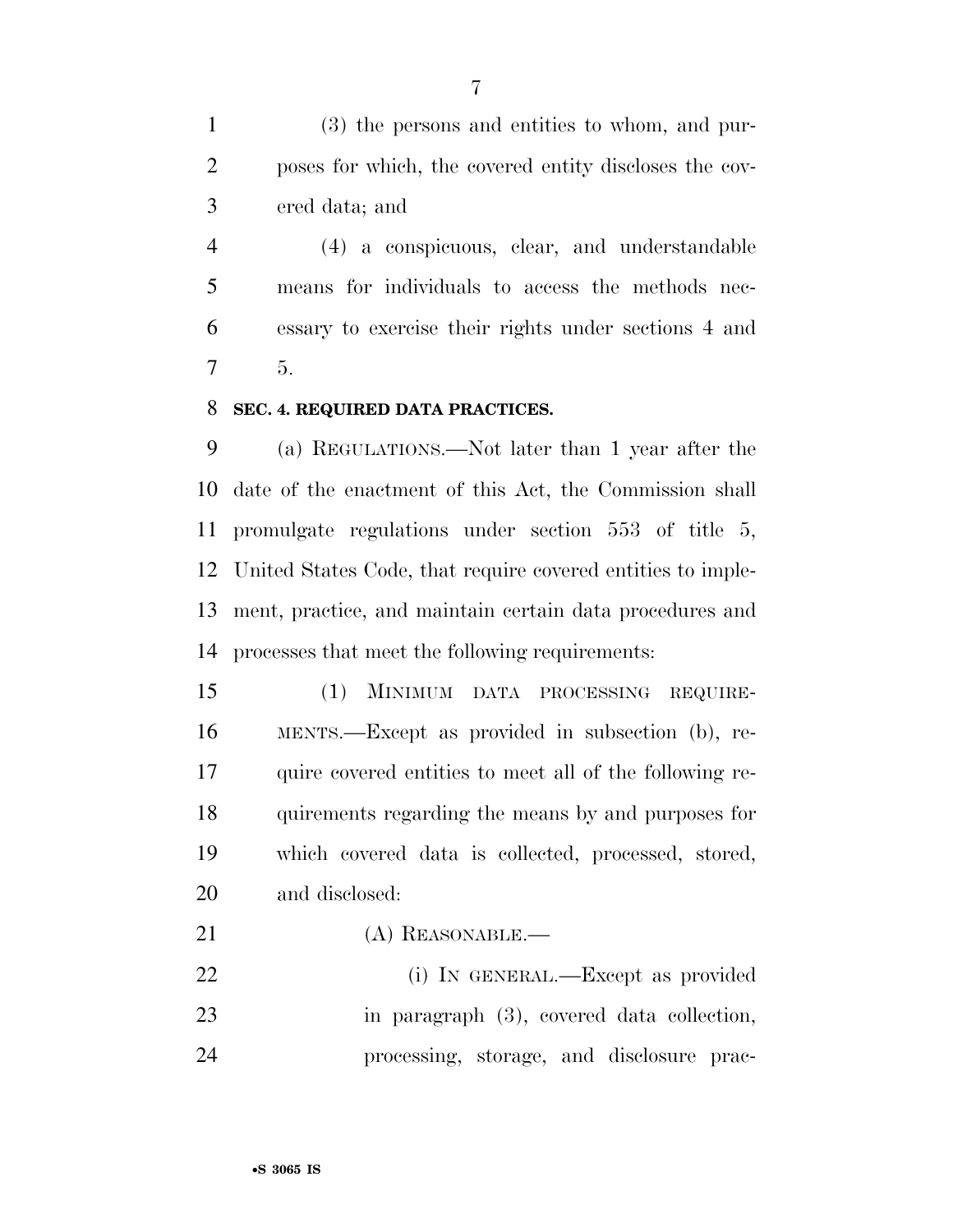(3) the persons and entities to whom, and pur- poses for which, the covered entity discloses the cov-ered data; and

 (4) a conspicuous, clear, and understandable means for individuals to access the methods nec- essary to exercise their rights under sections 4 and 5.

#### **SEC. 4. REQUIRED DATA PRACTICES.**

 (a) REGULATIONS.—Not later than 1 year after the date of the enactment of this Act, the Commission shall promulgate regulations under section 553 of title 5, United States Code, that require covered entities to imple- ment, practice, and maintain certain data procedures and processes that meet the following requirements:

 (1) MINIMUM DATA PROCESSING REQUIRE- MENTS.—Except as provided in subsection (b), re- quire covered entities to meet all of the following re- quirements regarding the means by and purposes for which covered data is collected, processed, stored, and disclosed:

21 (A) REASONABLE.—

22 (i) IN GENERAL.—Except as provided in paragraph (3), covered data collection, processing, storage, and disclosure prac-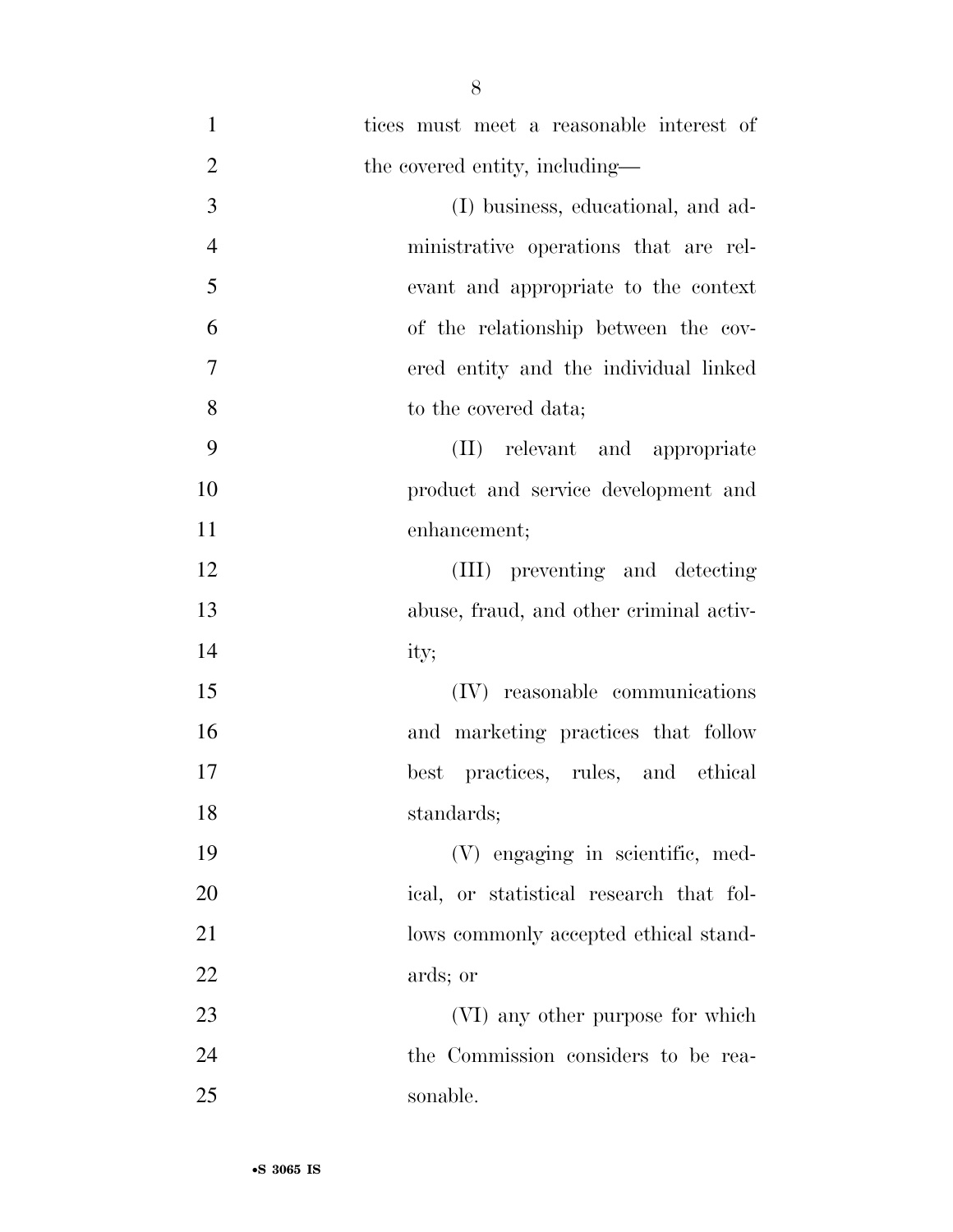| $\mathbf{1}$   | tices must meet a reasonable interest of |
|----------------|------------------------------------------|
| $\overline{2}$ | the covered entity, including—           |
| 3              | (I) business, educational, and ad-       |
| $\overline{4}$ | ministrative operations that are rel-    |
| 5              | evant and appropriate to the context     |
| 6              | of the relationship between the cov-     |
| 7              | ered entity and the individual linked    |
| 8              | to the covered data;                     |
| 9              | (II) relevant and appropriate            |
| 10             | product and service development and      |
| 11             | enhancement;                             |
| 12             | (III) preventing and detecting           |
| 13             | abuse, fraud, and other criminal activ-  |
| 14             | ity;                                     |
| 15             | (IV) reasonable communications           |
| 16             | and marketing practices that follow      |
| 17             | practices, rules, and ethical<br>best    |
| 18             | standards;                               |
| 19             | (V) engaging in scientific, med-         |
| 20             | ical, or statistical research that fol-  |
| 21             | lows commonly accepted ethical stand-    |
| <u>22</u>      | ards; or                                 |
| 23             | (VI) any other purpose for which         |
| 24             | the Commission considers to be rea-      |
| 25             | sonable.                                 |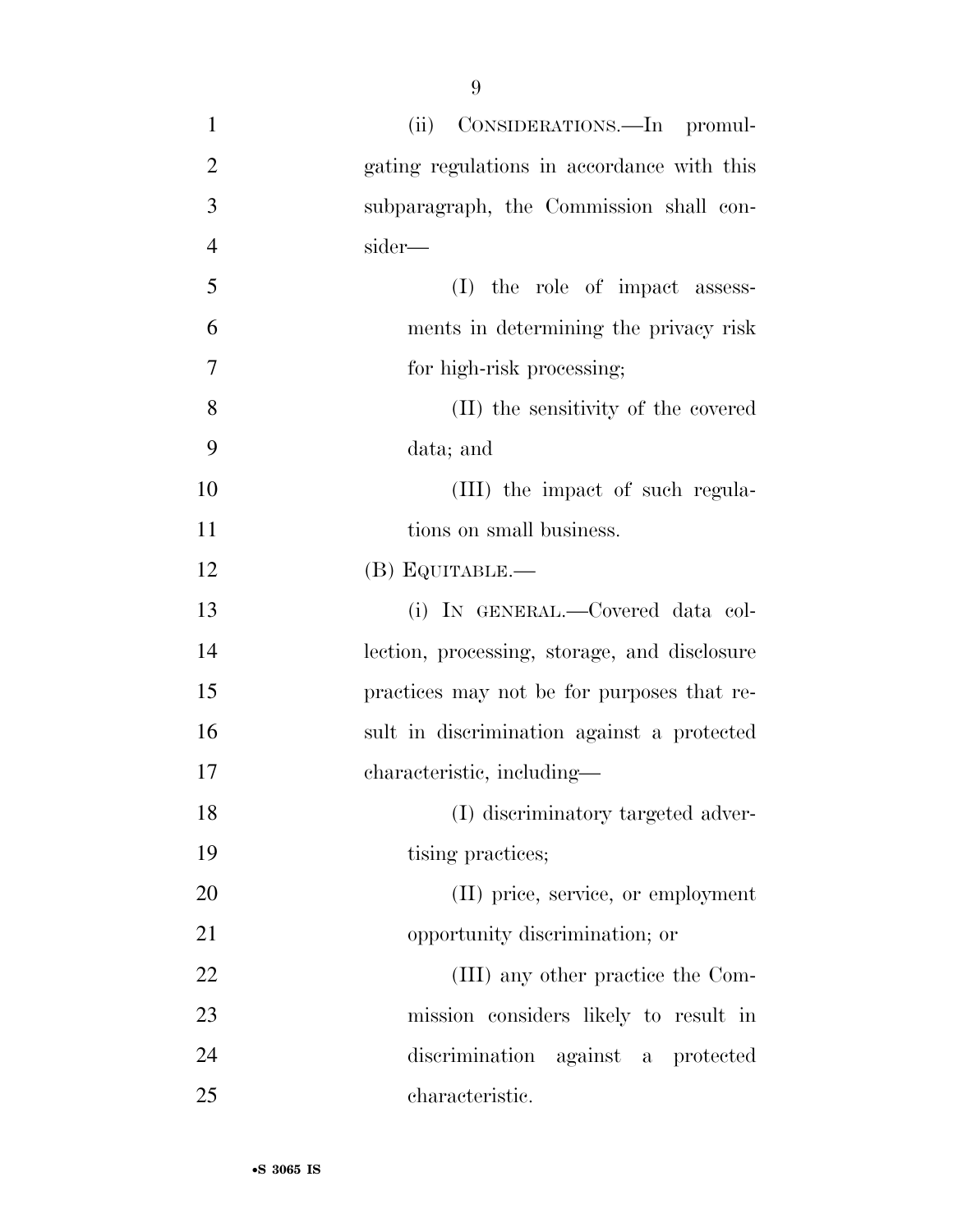| $\mathbf{1}$   | (ii) CONSIDERATIONS.—In promul-              |
|----------------|----------------------------------------------|
| $\overline{2}$ | gating regulations in accordance with this   |
| 3              | subparagraph, the Commission shall con-      |
| $\overline{4}$ | sider—                                       |
| 5              | (I) the role of impact assess-               |
| 6              | ments in determining the privacy risk        |
| $\overline{7}$ | for high-risk processing;                    |
| 8              | (II) the sensitivity of the covered          |
| 9              | data; and                                    |
| 10             | (III) the impact of such regula-             |
| 11             | tions on small business.                     |
| 12             | (B) EQUITABLE.-                              |
| 13             | (i) IN GENERAL.—Covered data col-            |
| 14             | lection, processing, storage, and disclosure |
| 15             | practices may not be for purposes that re-   |
| 16             | sult in discrimination against a protected   |
| 17             | characteristic, including—                   |
| 18             | (I) discriminatory targeted adver-           |
| 19             | tising practices;                            |
| 20             | (II) price, service, or employment           |
| 21             | opportunity discrimination; or               |
| 22             | (III) any other practice the Com-            |
| 23             | mission considers likely to result in        |
| 24             | discrimination against a protected           |
| 25             | characteristic.                              |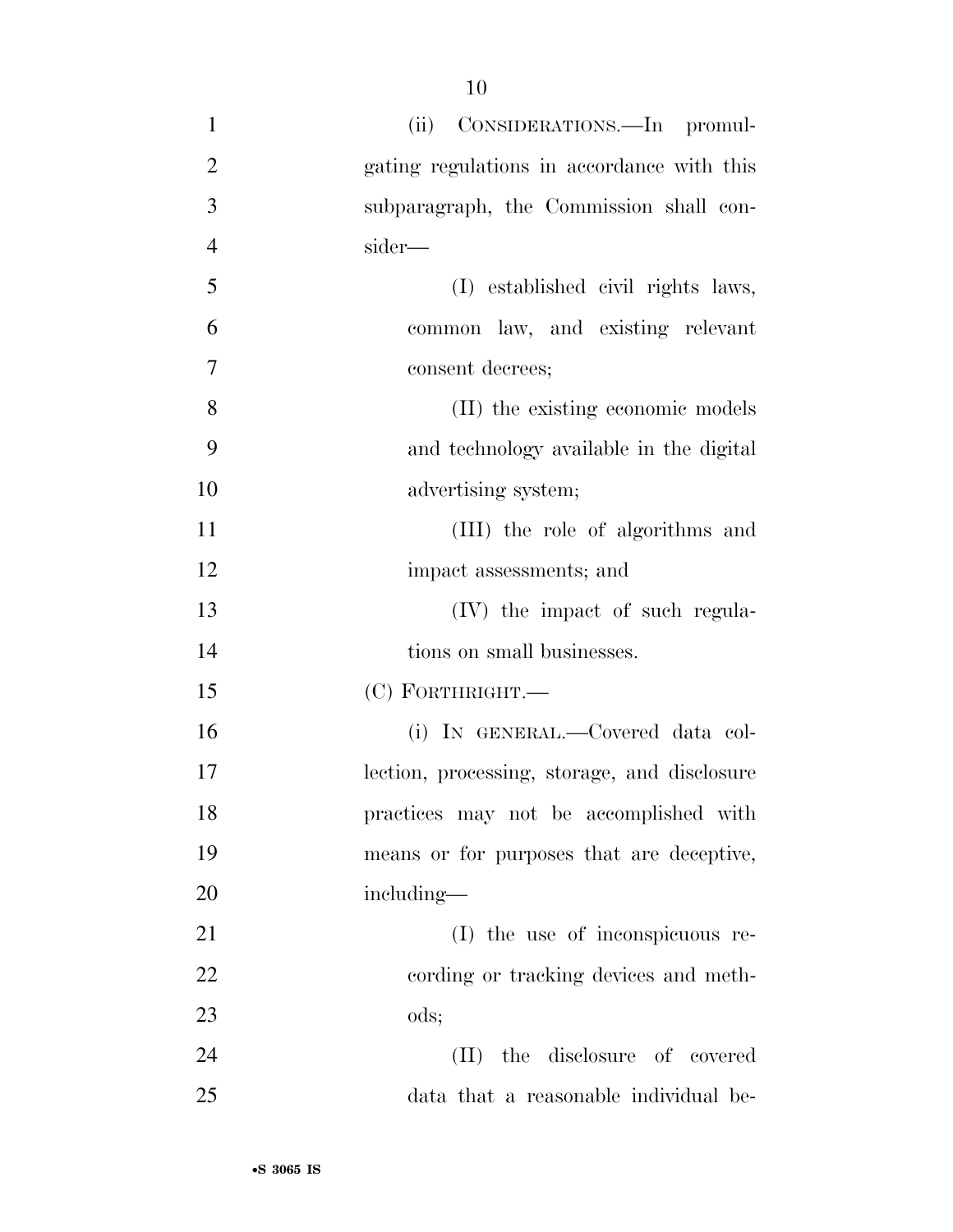- (ii) CONSIDERATIONS.—In promul- gating regulations in accordance with this subparagraph, the Commission shall con- sider— (I) established civil rights laws, common law, and existing relevant consent decrees; (II) the existing economic models and technology available in the digital 10 advertising system; (III) the role of algorithms and 12 impact assessments; and 13 (IV) the impact of such regula-14 tions on small businesses. (C) FORTHRIGHT.— (i) IN GENERAL.—Covered data col- lection, processing, storage, and disclosure practices may not be accomplished with means or for purposes that are deceptive, including— (I) the use of inconspicuous re- cording or tracking devices and meth- ods; (II) the disclosure of covered
- data that a reasonable individual be-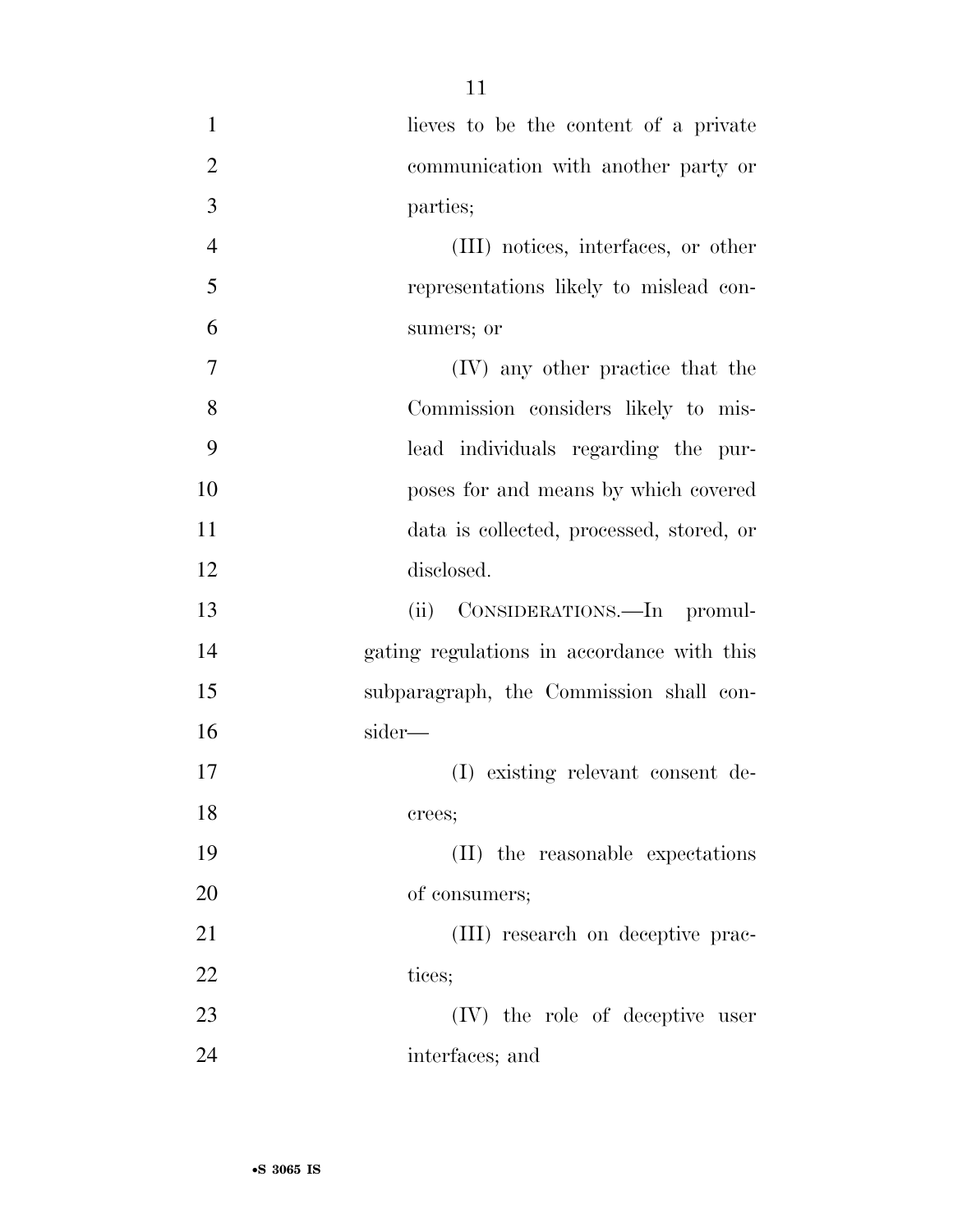| $\mathbf{1}$   | lieves to be the content of a private      |
|----------------|--------------------------------------------|
| $\overline{2}$ | communication with another party or        |
| 3              | parties;                                   |
| $\overline{4}$ | (III) notices, interfaces, or other        |
| 5              | representations likely to mislead con-     |
| 6              | sumers; or                                 |
| 7              | (IV) any other practice that the           |
| 8              | Commission considers likely to mis-        |
| 9              | lead individuals regarding the pur-        |
| 10             | poses for and means by which covered       |
| 11             | data is collected, processed, stored, or   |
| 12             | disclosed.                                 |
| 13             | (ii) CONSIDERATIONS.—In promul-            |
| 14             | gating regulations in accordance with this |
| 15             | subparagraph, the Commission shall con-    |
| 16             | sider—                                     |
| 17             | (I) existing relevant consent de-          |
| 18             | crees;                                     |
| 19             | (II) the reasonable expectations           |
| 20             | of consumers;                              |
| 21             | (III) research on deceptive prac-          |
| 22             | tices;                                     |
| 23             | (IV) the role of deceptive user            |
| 24             | interfaces; and                            |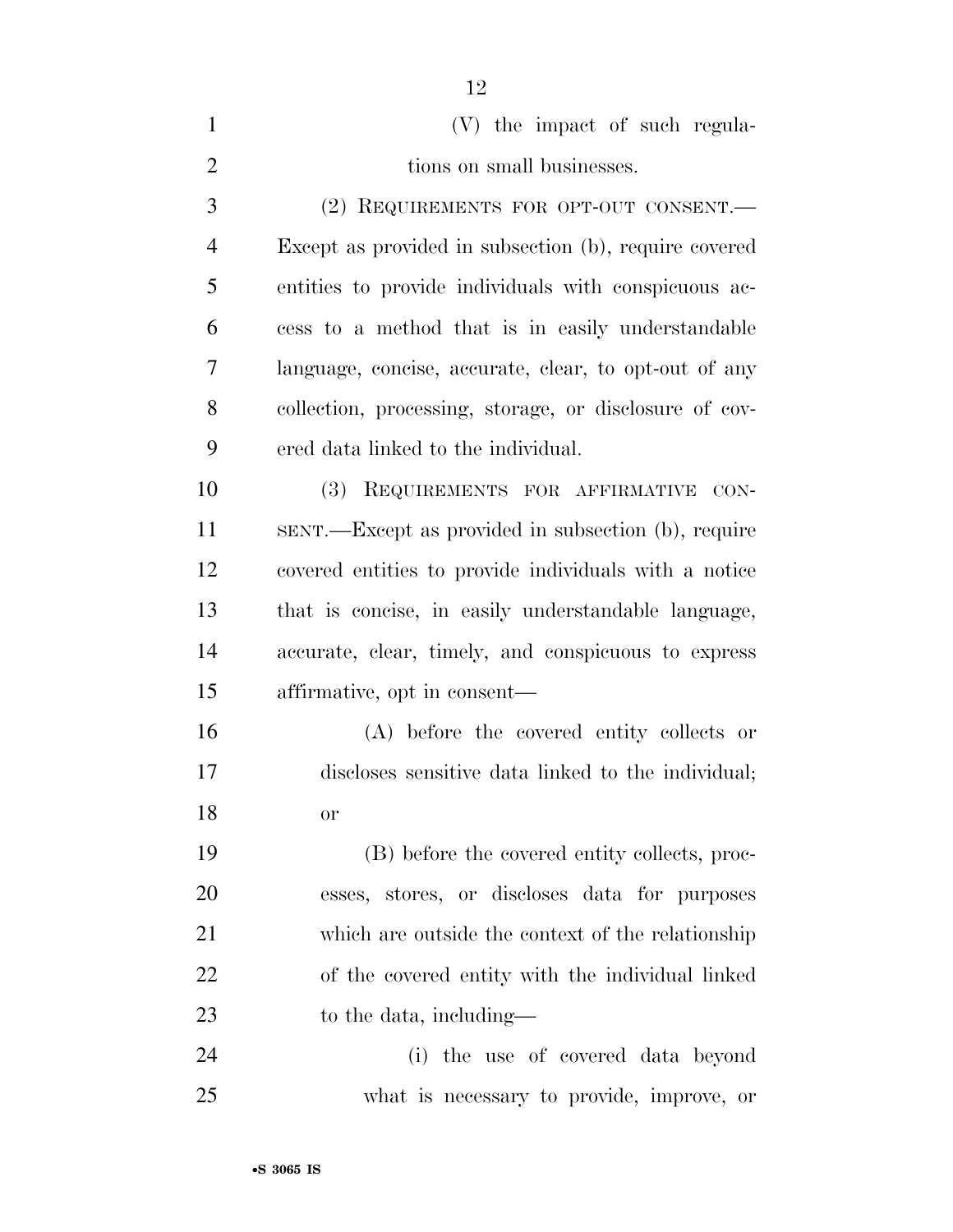| $\mathbf{1}$   | (V) the impact of such regula-                         |
|----------------|--------------------------------------------------------|
| $\overline{2}$ | tions on small businesses.                             |
| 3              | (2) REQUIREMENTS FOR OPT-OUT CONSENT.                  |
| 4              | Except as provided in subsection (b), require covered  |
| 5              | entities to provide individuals with conspicuous ac-   |
| 6              | cess to a method that is in easily understandable      |
| 7              | language, concise, accurate, clear, to opt-out of any  |
| 8              | collection, processing, storage, or disclosure of cov- |
| 9              | ered data linked to the individual.                    |
| 10             | (3) REQUIREMENTS FOR AFFIRMATIVE<br>CON-               |
| 11             | SENT.—Except as provided in subsection (b), require    |
| 12             | covered entities to provide individuals with a notice  |
| 13             | that is concise, in easily understandable language,    |
| 14             | accurate, clear, timely, and conspicuous to express    |
| 15             | affirmative, opt in consent—                           |
| 16             | (A) before the covered entity collects or              |
| 17             | discloses sensitive data linked to the individual;     |
| 18             | <b>or</b>                                              |
| 19             | (B) before the covered entity collects, proc-          |
| 20             | esses, stores, or discloses data for purposes          |
| 21             | which are outside the context of the relationship      |
| 22             | of the covered entity with the individual linked       |
| 23             | to the data, including—                                |
| 24             | (i) the use of covered data beyond                     |
| 25             | what is necessary to provide, improve, or              |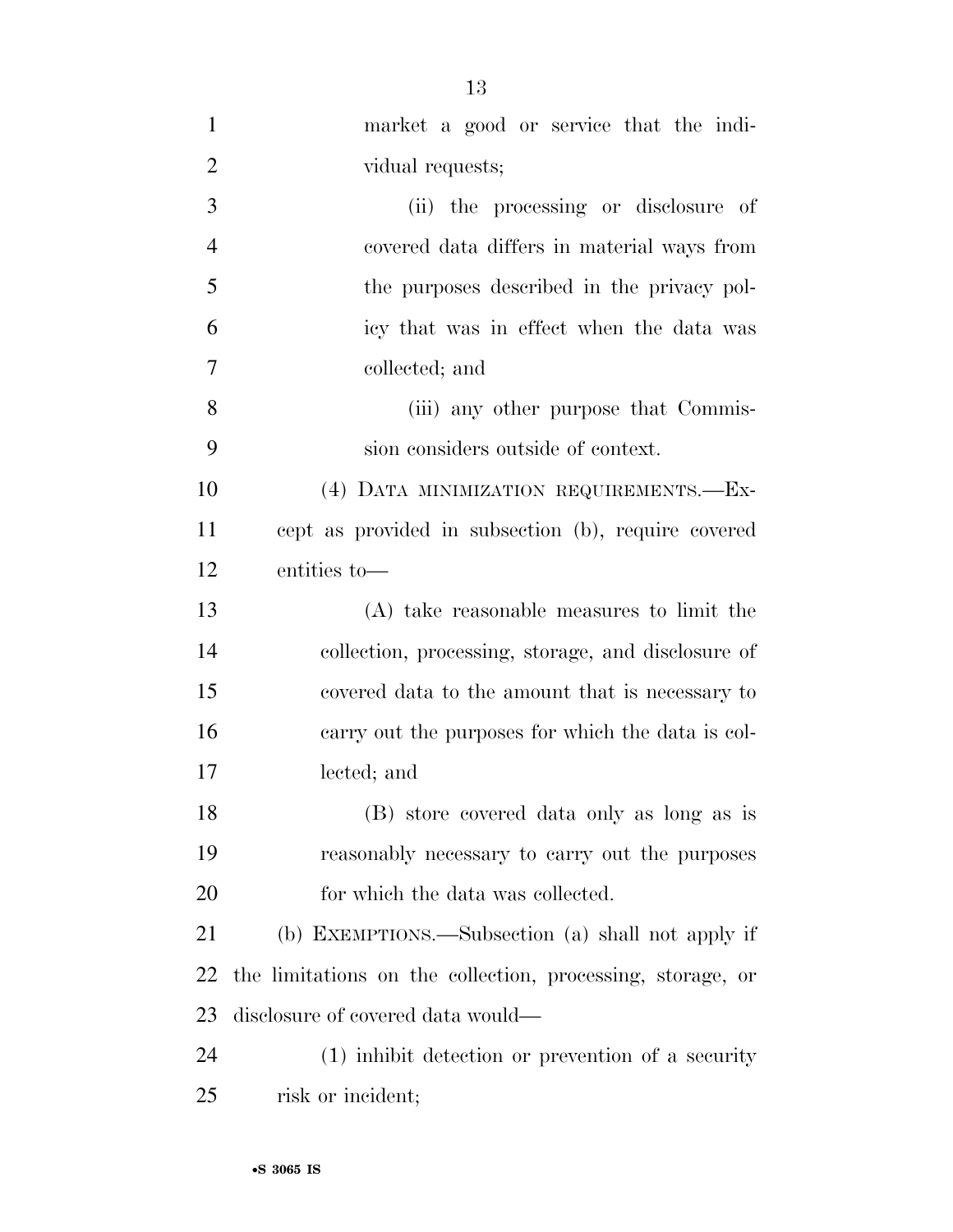| $\mathbf{1}$   | market a good or service that the indi-                    |
|----------------|------------------------------------------------------------|
| $\overline{2}$ | vidual requests;                                           |
| 3              | (ii) the processing or disclosure of                       |
| $\overline{4}$ | covered data differs in material ways from                 |
| 5              | the purposes described in the privacy pol-                 |
| 6              | icy that was in effect when the data was                   |
| $\tau$         | collected; and                                             |
| 8              | (iii) any other purpose that Commis-                       |
| 9              | sion considers outside of context.                         |
| 10             | (4) DATA MINIMIZATION REQUIREMENTS.-Ex-                    |
| 11             | cept as provided in subsection (b), require covered        |
| 12             | entities to-                                               |
| 13             | (A) take reasonable measures to limit the                  |
| 14             | collection, processing, storage, and disclosure of         |
| 15             | covered data to the amount that is necessary to            |
| 16             | carry out the purposes for which the data is col-          |
| 17             | lected; and                                                |
| 18             | (B) store covered data only as long as is                  |
| 19             | reasonably necessary to carry out the purposes             |
| 20             | for which the data was collected.                          |
| 21             | (b) EXEMPTIONS.—Subsection (a) shall not apply if          |
| 22             | the limitations on the collection, processing, storage, or |
| 23             | disclosure of covered data would—                          |
| 24             | $(1)$ inhibit detection or prevention of a security        |
| 25             | risk or incident;                                          |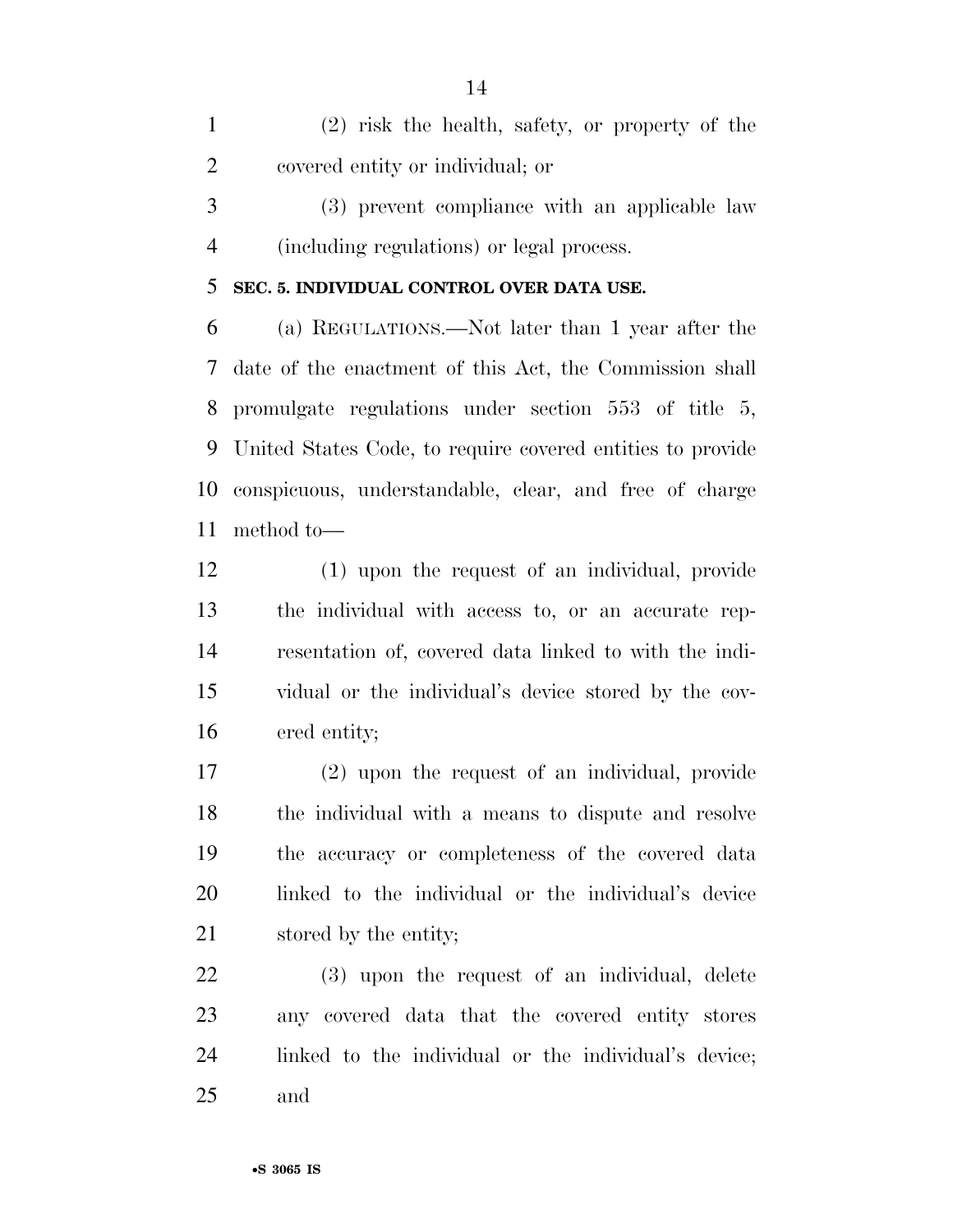(2) risk the health, safety, or property of the covered entity or individual; or

 (3) prevent compliance with an applicable law (including regulations) or legal process.

#### **SEC. 5. INDIVIDUAL CONTROL OVER DATA USE.**

 (a) REGULATIONS.—Not later than 1 year after the date of the enactment of this Act, the Commission shall promulgate regulations under section 553 of title 5, United States Code, to require covered entities to provide conspicuous, understandable, clear, and free of charge method to—

 (1) upon the request of an individual, provide the individual with access to, or an accurate rep- resentation of, covered data linked to with the indi- vidual or the individual's device stored by the cov-ered entity;

 (2) upon the request of an individual, provide the individual with a means to dispute and resolve the accuracy or completeness of the covered data linked to the individual or the individual's device 21 stored by the entity;

 (3) upon the request of an individual, delete any covered data that the covered entity stores linked to the individual or the individual's device; and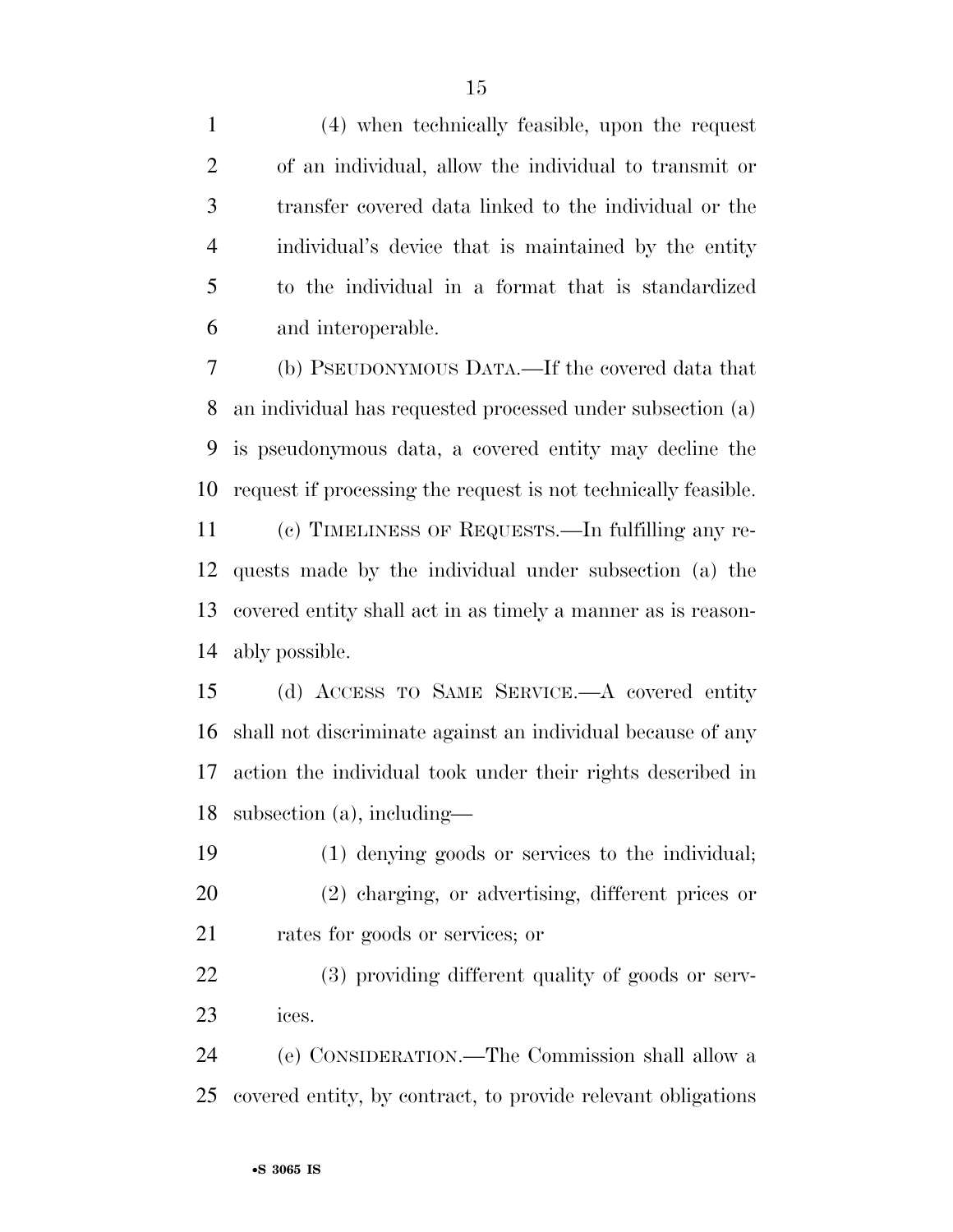(4) when technically feasible, upon the request of an individual, allow the individual to transmit or transfer covered data linked to the individual or the individual's device that is maintained by the entity to the individual in a format that is standardized and interoperable.

 (b) PSEUDONYMOUS DATA.—If the covered data that an individual has requested processed under subsection (a) is pseudonymous data, a covered entity may decline the request if processing the request is not technically feasible.

 (c) TIMELINESS OF REQUESTS.—In fulfilling any re- quests made by the individual under subsection (a) the covered entity shall act in as timely a manner as is reason-ably possible.

 (d) ACCESS TO SAME SERVICE.—A covered entity shall not discriminate against an individual because of any action the individual took under their rights described in subsection (a), including—

 (1) denying goods or services to the individual; (2) charging, or advertising, different prices or rates for goods or services; or

 (3) providing different quality of goods or serv-ices.

 (e) CONSIDERATION.—The Commission shall allow a covered entity, by contract, to provide relevant obligations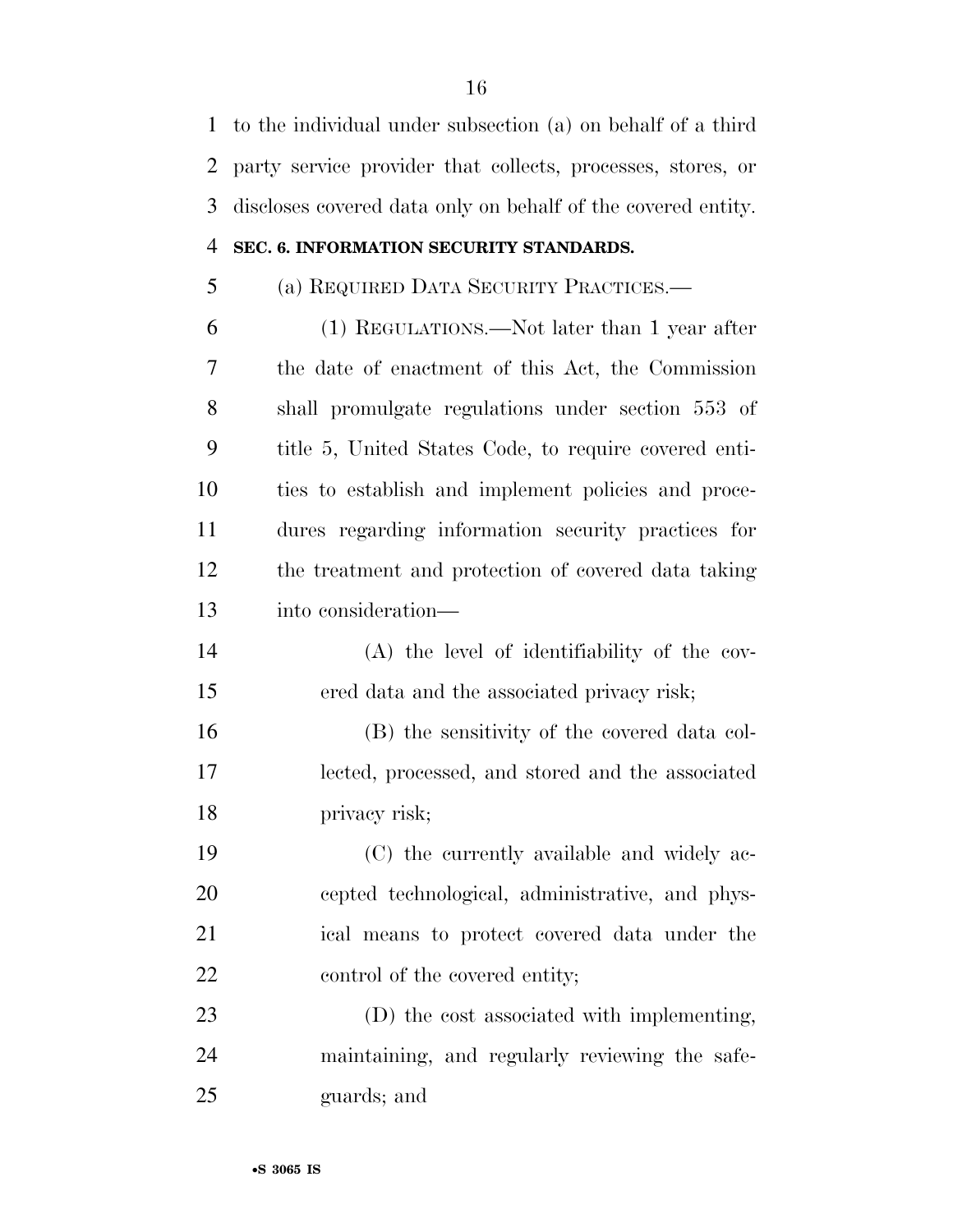to the individual under subsection (a) on behalf of a third party service provider that collects, processes, stores, or discloses covered data only on behalf of the covered entity.

#### **SEC. 6. INFORMATION SECURITY STANDARDS.**

## (a) REQUIRED DATA SECURITY PRACTICES.—

 (1) REGULATIONS.—Not later than 1 year after the date of enactment of this Act, the Commission shall promulgate regulations under section 553 of title 5, United States Code, to require covered enti- ties to establish and implement policies and proce- dures regarding information security practices for the treatment and protection of covered data taking into consideration—

 (A) the level of identifiability of the cov-ered data and the associated privacy risk;

 (B) the sensitivity of the covered data col- lected, processed, and stored and the associated privacy risk;

 (C) the currently available and widely ac- cepted technological, administrative, and phys- ical means to protect covered data under the 22 control of the covered entity;

 (D) the cost associated with implementing, maintaining, and regularly reviewing the safe-guards; and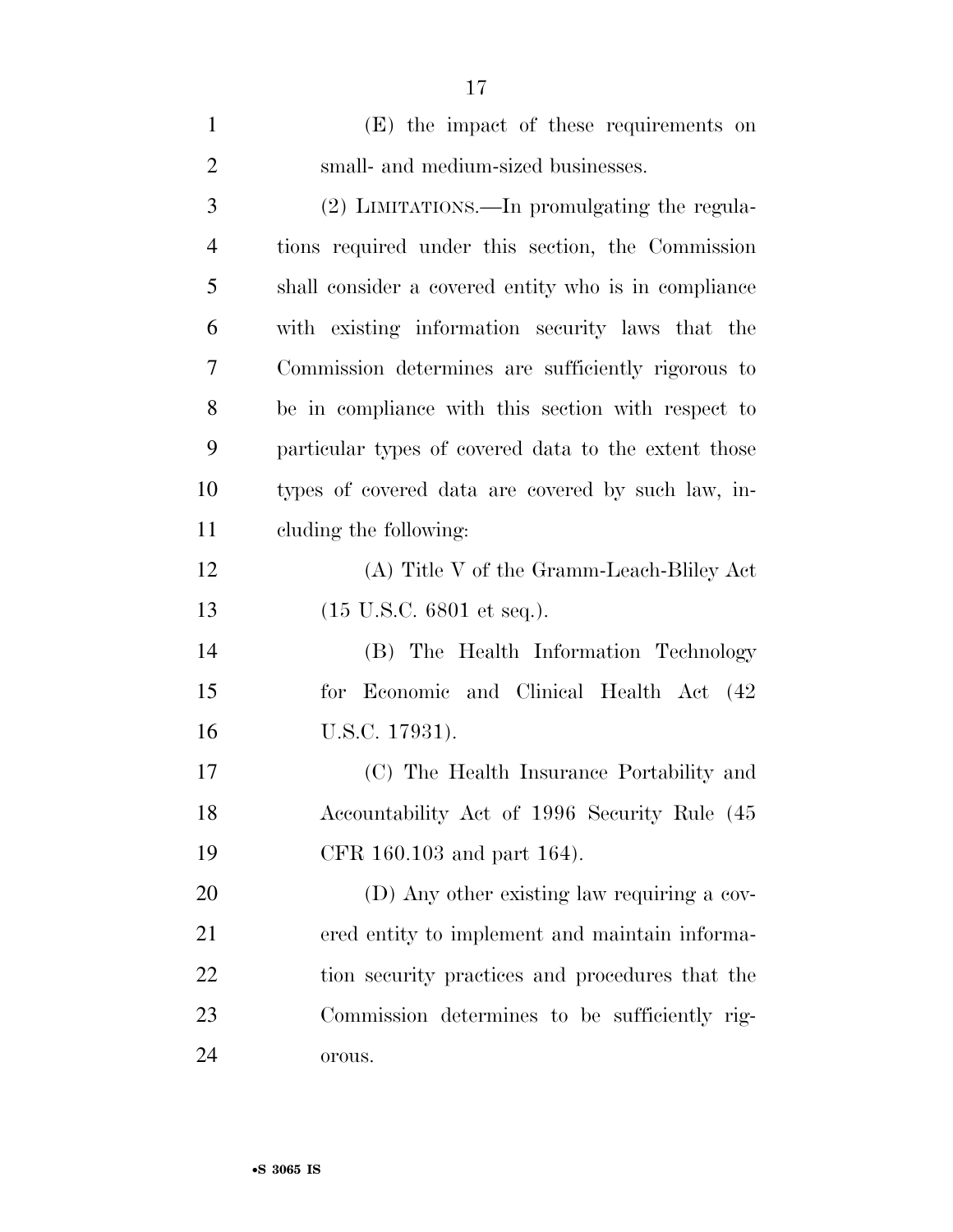| $\mathbf{1}$   | (E) the impact of these requirements on              |
|----------------|------------------------------------------------------|
| $\overline{2}$ | small- and medium-sized businesses.                  |
| 3              | (2) LIMITATIONS.—In promulgating the regula-         |
| $\overline{4}$ | tions required under this section, the Commission    |
| 5              | shall consider a covered entity who is in compliance |
| 6              | with existing information security laws that the     |
| 7              | Commission determines are sufficiently rigorous to   |
| 8              | be in compliance with this section with respect to   |
| 9              | particular types of covered data to the extent those |
| 10             | types of covered data are covered by such law, in-   |
| 11             | cluding the following:                               |
| 12             | (A) Title V of the Gramm-Leach-Bliley Act            |
| 13             | $(15 \text{ U.S.C. } 6801 \text{ et seq.}).$         |
| 14             | (B) The Health Information Technology                |
| 15             | for Economic and Clinical Health Act (42)            |
| 16             | U.S.C. 17931).                                       |
| 17             | (C) The Health Insurance Portability and             |
| 18             | Accountability Act of 1996 Security Rule (45         |
| 19             | CFR 160.103 and part 164).                           |
| 20             | (D) Any other existing law requiring a cov-          |
| 21             | ered entity to implement and maintain informa-       |
| 22             | tion security practices and procedures that the      |
| 23             | Commission determines to be sufficiently rig-        |
| 24             | orous.                                               |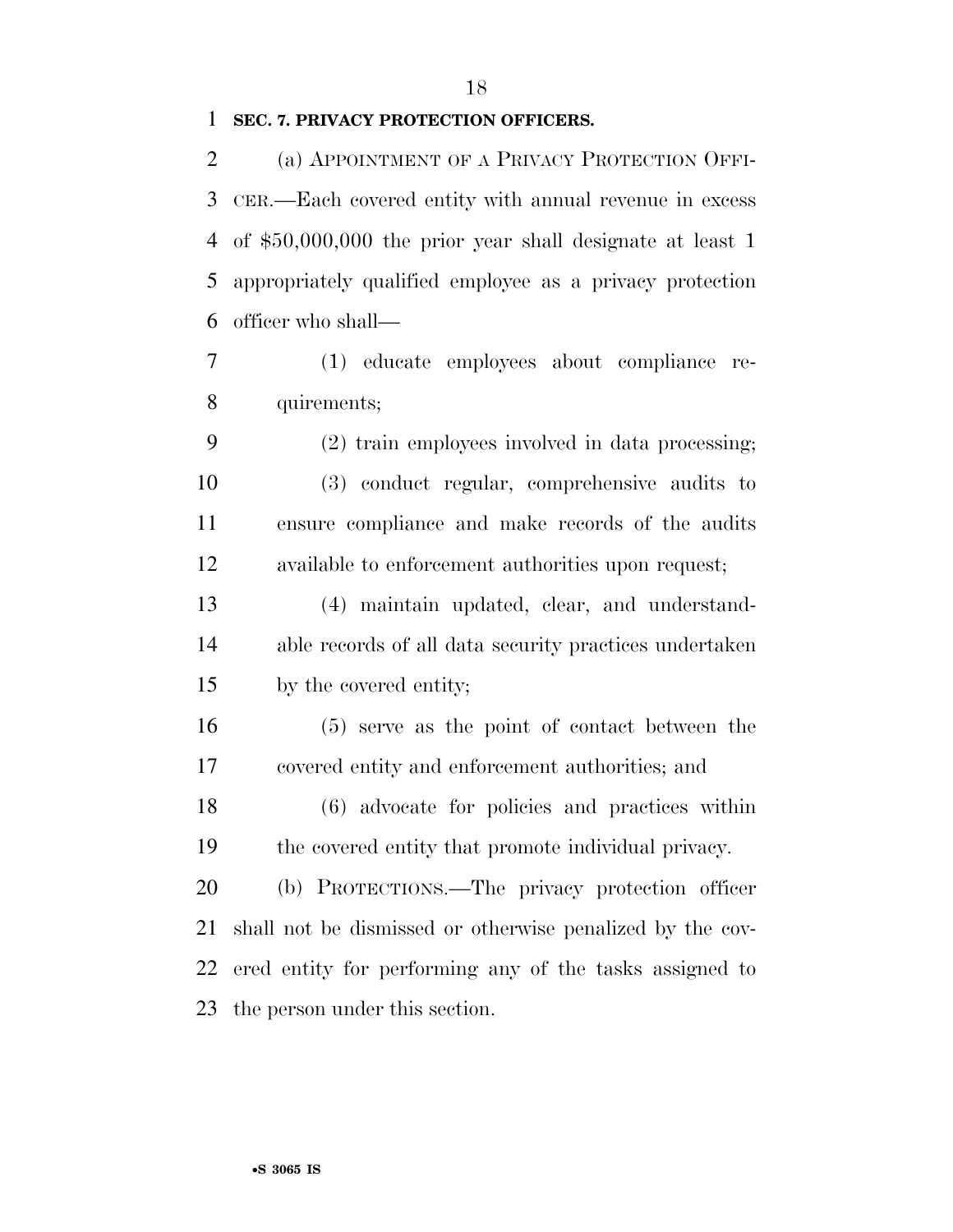#### **SEC. 7. PRIVACY PROTECTION OFFICERS.**

 (a) APPOINTMENT OF A PRIVACY PROTECTION OFFI- CER.—Each covered entity with annual revenue in excess of \$50,000,000 the prior year shall designate at least 1 appropriately qualified employee as a privacy protection officer who shall—

 (1) educate employees about compliance re-quirements;

 (2) train employees involved in data processing; (3) conduct regular, comprehensive audits to ensure compliance and make records of the audits available to enforcement authorities upon request;

 (4) maintain updated, clear, and understand- able records of all data security practices undertaken by the covered entity;

 (5) serve as the point of contact between the covered entity and enforcement authorities; and

 (6) advocate for policies and practices within the covered entity that promote individual privacy.

 (b) PROTECTIONS.—The privacy protection officer shall not be dismissed or otherwise penalized by the cov- ered entity for performing any of the tasks assigned to the person under this section.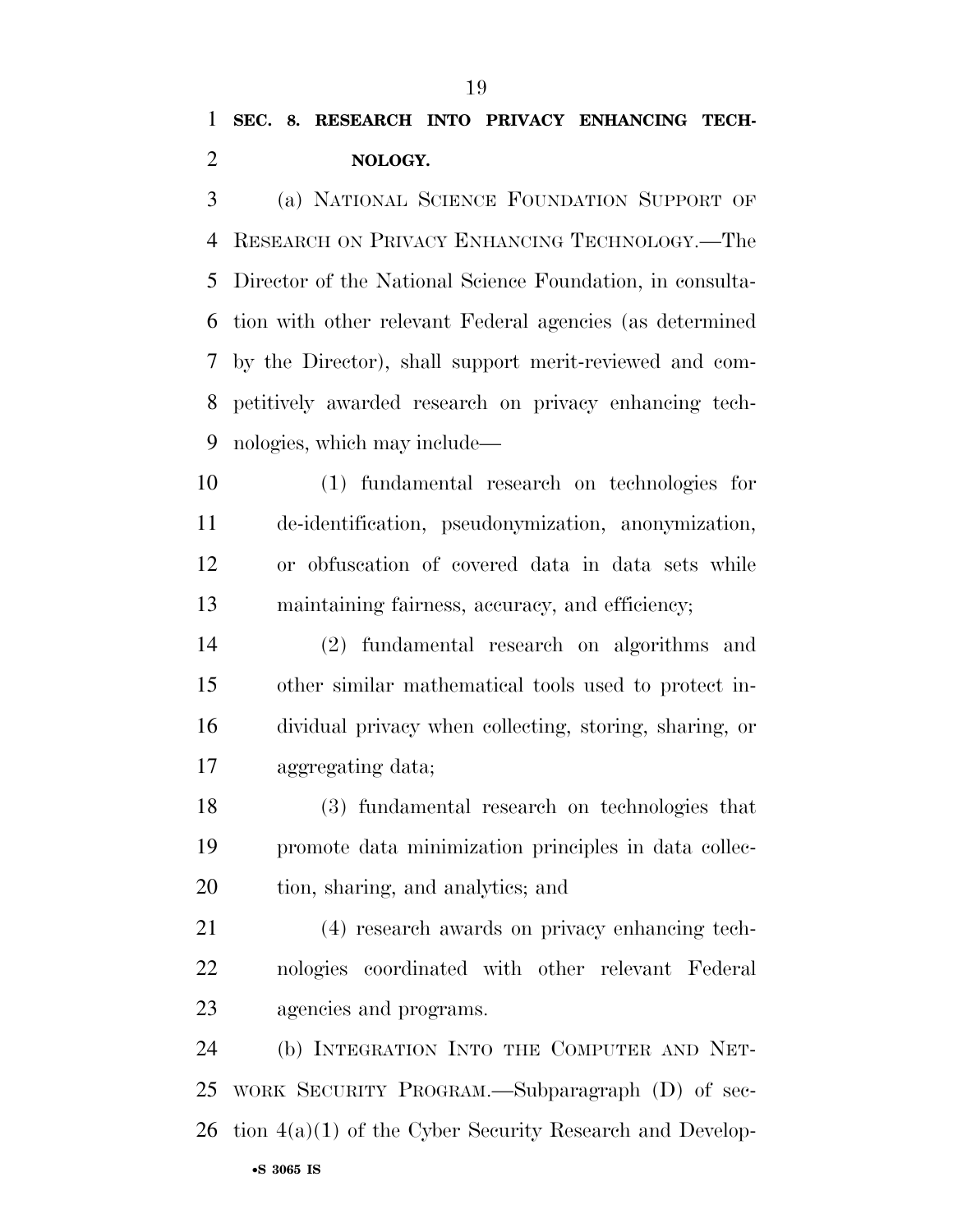(a) NATIONAL SCIENCE FOUNDATION SUPPORT OF RESEARCH ON PRIVACY ENHANCING TECHNOLOGY.—The Director of the National Science Foundation, in consulta- tion with other relevant Federal agencies (as determined by the Director), shall support merit-reviewed and com- petitively awarded research on privacy enhancing tech-nologies, which may include—

 (1) fundamental research on technologies for de-identification, pseudonymization, anonymization, or obfuscation of covered data in data sets while maintaining fairness, accuracy, and efficiency;

 (2) fundamental research on algorithms and other similar mathematical tools used to protect in- dividual privacy when collecting, storing, sharing, or aggregating data;

 (3) fundamental research on technologies that promote data minimization principles in data collec-tion, sharing, and analytics; and

 (4) research awards on privacy enhancing tech- nologies coordinated with other relevant Federal agencies and programs.

 (b) INTEGRATION INTO THE COMPUTER AND NET- WORK SECURITY PROGRAM.—Subparagraph (D) of sec-tion 4(a)(1) of the Cyber Security Research and Develop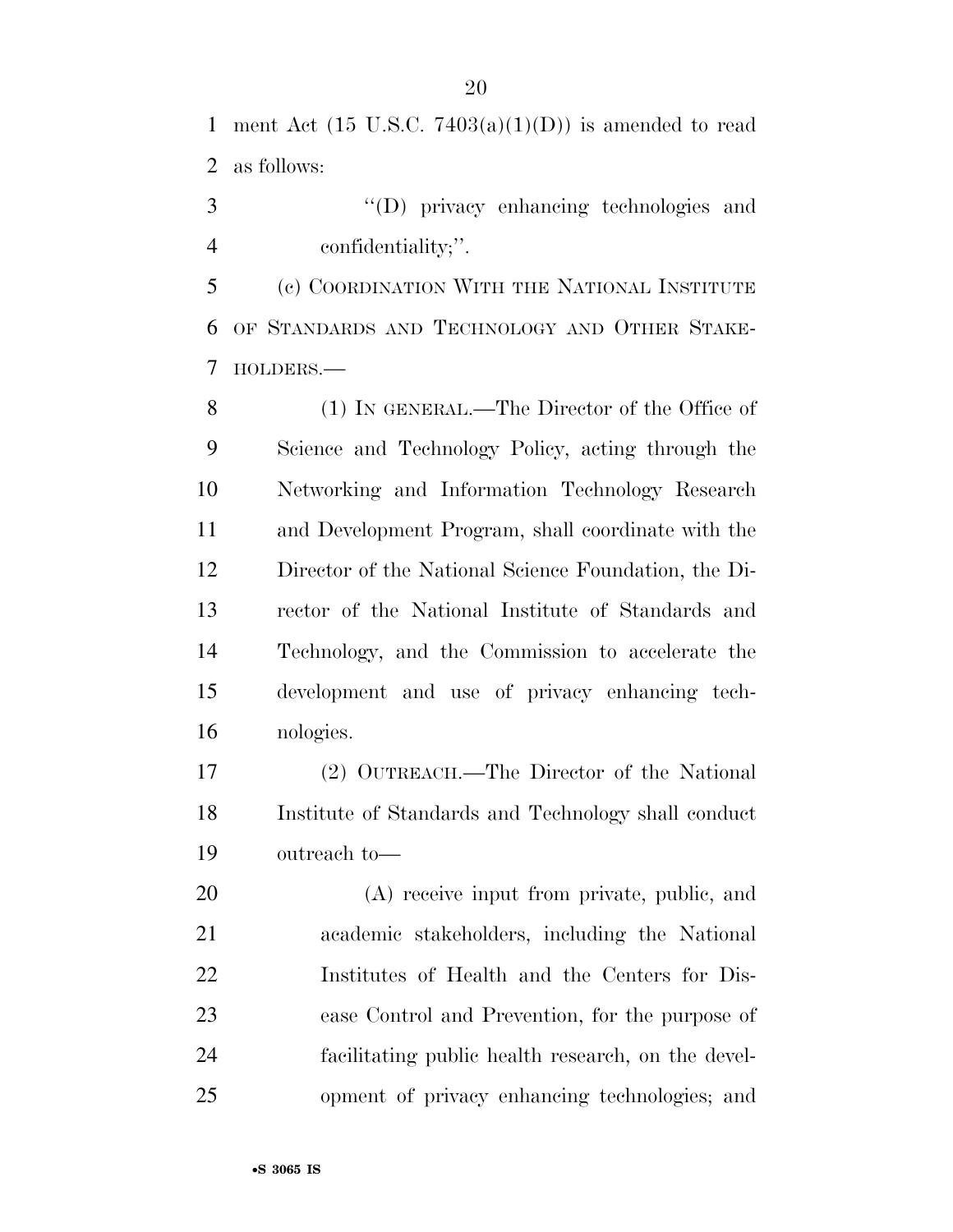1 ment Act  $(15 \text{ U.S.C. } 7403(a)(1)(D))$  is amended to read as follows:

 ''(D) privacy enhancing technologies and confidentiality;''.

 (c) COORDINATION WITH THE NATIONAL INSTITUTE OF STANDARDS AND TECHNOLOGY AND OTHER STAKE-HOLDERS.—

 (1) IN GENERAL.—The Director of the Office of Science and Technology Policy, acting through the Networking and Information Technology Research and Development Program, shall coordinate with the Director of the National Science Foundation, the Di- rector of the National Institute of Standards and Technology, and the Commission to accelerate the development and use of privacy enhancing tech-nologies.

 (2) OUTREACH.—The Director of the National Institute of Standards and Technology shall conduct outreach to—

 (A) receive input from private, public, and academic stakeholders, including the National Institutes of Health and the Centers for Dis- ease Control and Prevention, for the purpose of facilitating public health research, on the devel-opment of privacy enhancing technologies; and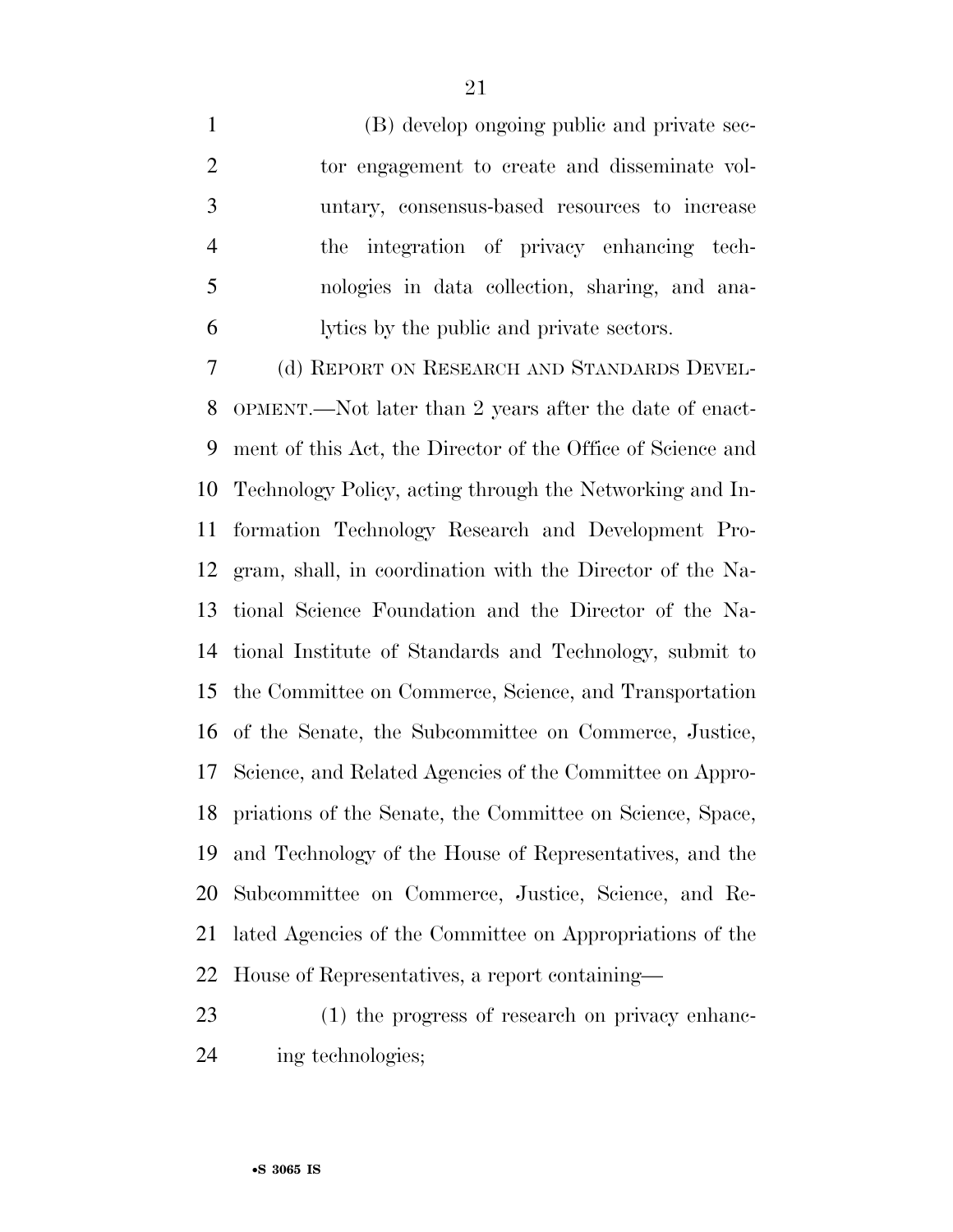(B) develop ongoing public and private sec- tor engagement to create and disseminate vol- untary, consensus-based resources to increase the integration of privacy enhancing tech- nologies in data collection, sharing, and ana-lytics by the public and private sectors.

 (d) REPORT ON RESEARCH AND STANDARDS DEVEL- OPMENT.—Not later than 2 years after the date of enact- ment of this Act, the Director of the Office of Science and Technology Policy, acting through the Networking and In- formation Technology Research and Development Pro- gram, shall, in coordination with the Director of the Na- tional Science Foundation and the Director of the Na- tional Institute of Standards and Technology, submit to the Committee on Commerce, Science, and Transportation of the Senate, the Subcommittee on Commerce, Justice, Science, and Related Agencies of the Committee on Appro- priations of the Senate, the Committee on Science, Space, and Technology of the House of Representatives, and the Subcommittee on Commerce, Justice, Science, and Re- lated Agencies of the Committee on Appropriations of the House of Representatives, a report containing—

 (1) the progress of research on privacy enhanc-ing technologies;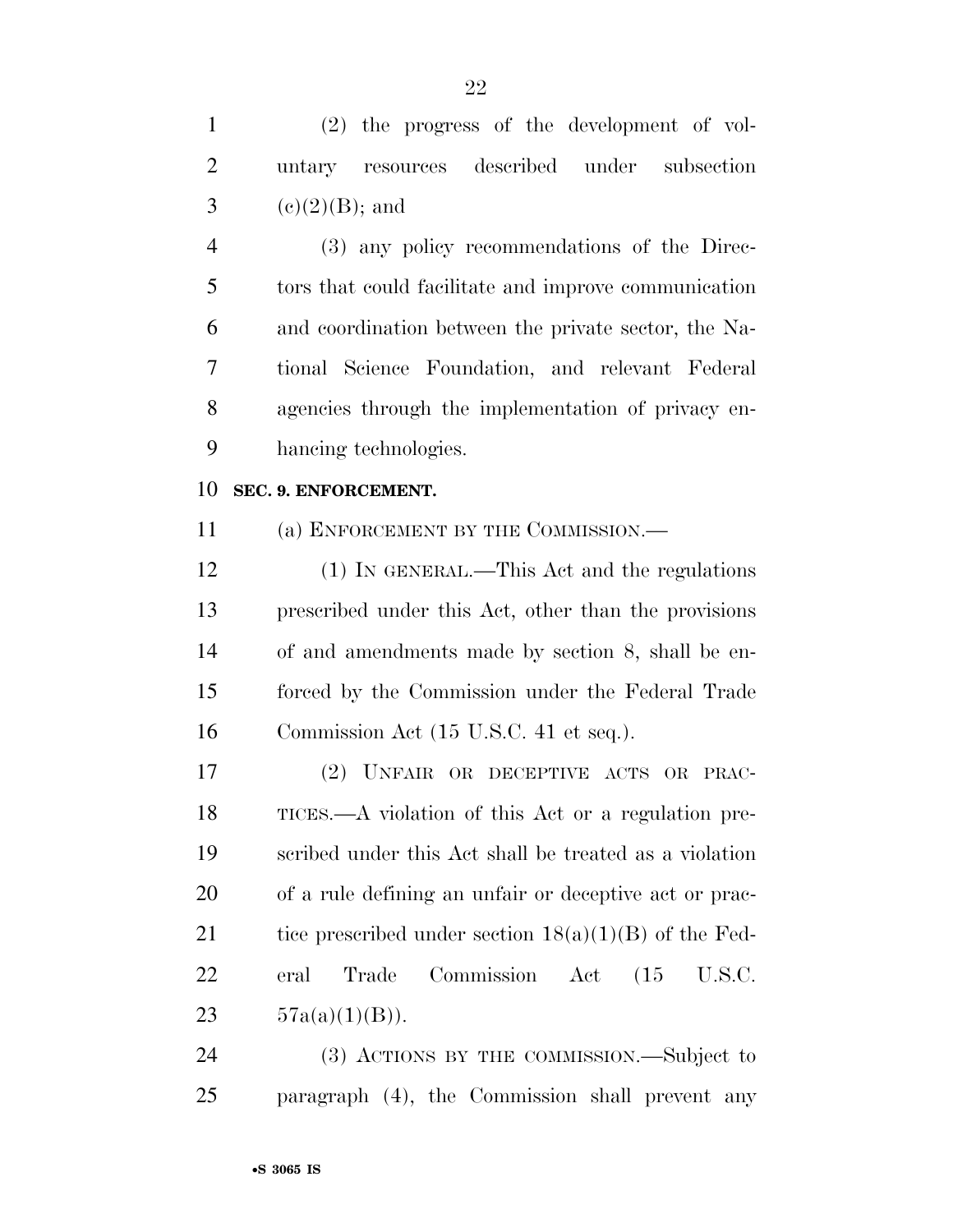(2) the progress of the development of vol- untary resources described under subsection 3 (e)(2)(B); and (3) any policy recommendations of the Direc-tors that could facilitate and improve communication

 and coordination between the private sector, the Na- tional Science Foundation, and relevant Federal agencies through the implementation of privacy en-hancing technologies.

#### **SEC. 9. ENFORCEMENT.**

11 (a) ENFORCEMENT BY THE COMMISSION.—

12 (1) IN GENERAL.—This Act and the regulations prescribed under this Act, other than the provisions of and amendments made by section 8, shall be en- forced by the Commission under the Federal Trade Commission Act (15 U.S.C. 41 et seq.).

 (2) UNFAIR OR DECEPTIVE ACTS OR PRAC- TICES.—A violation of this Act or a regulation pre- scribed under this Act shall be treated as a violation of a rule defining an unfair or deceptive act or prac-21 tice prescribed under section  $18(a)(1)(B)$  of the Fed- eral Trade Commission Act (15 U.S.C.  $57a(a)(1)(B)$ .

 (3) ACTIONS BY THE COMMISSION.—Subject to paragraph (4), the Commission shall prevent any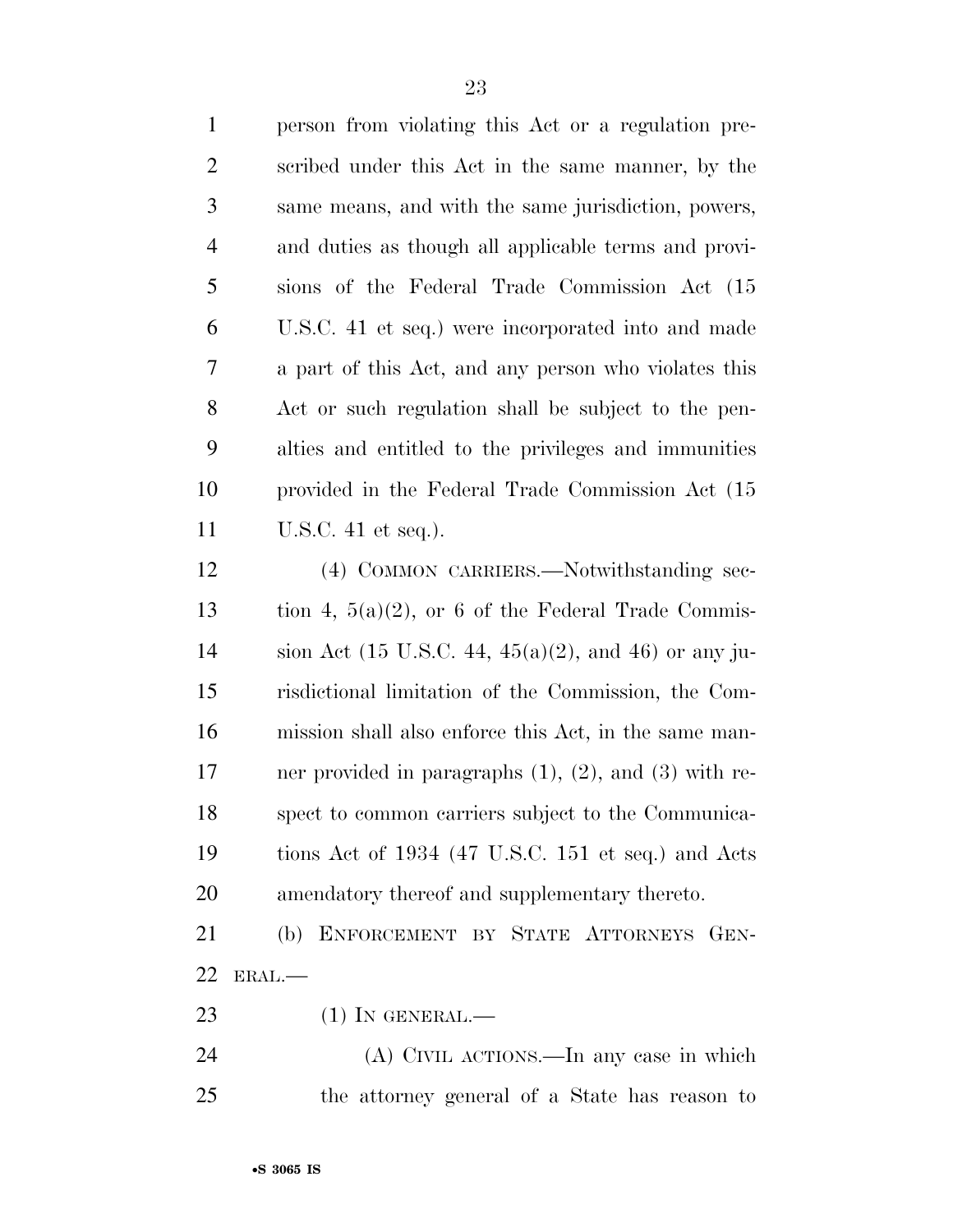| $\mathbf{1}$   | person from violating this Act or a regulation pre-                      |
|----------------|--------------------------------------------------------------------------|
| $\mathfrak{2}$ | scribed under this Act in the same manner, by the                        |
| 3              | same means, and with the same jurisdiction, powers,                      |
| $\overline{4}$ | and duties as though all applicable terms and provi-                     |
| 5              | sions of the Federal Trade Commission Act (15                            |
| 6              | U.S.C. 41 et seq.) were incorporated into and made                       |
| 7              | a part of this Act, and any person who violates this                     |
| $8\phantom{1}$ | Act or such regulation shall be subject to the pen-                      |
| 9              | alties and entitled to the privileges and immunities                     |
| 10             | provided in the Federal Trade Commission Act (15)                        |
| 11             | U.S.C. $41$ et seq.).                                                    |
| 12             | (4) COMMON CARRIERS.—Notwithstanding sec-                                |
| 13             | tion 4, $5(a)(2)$ , or 6 of the Federal Trade Commis-                    |
| 14             | sion Act $(15 \text{ U.S.C. } 44, 45(a)(2), \text{ and } 46)$ or any ju- |
| 15             | risdictional limitation of the Commission, the Com-                      |
| 16             | mission shall also enforce this Act, in the same man-                    |
| 17             | ner provided in paragraphs $(1)$ , $(2)$ , and $(3)$ with re-            |
| 18             | spect to common carriers subject to the Communica-                       |
| 19             | tions Act of 1934 (47 U.S.C. 151 et seq.) and Acts                       |
| 20             | amendatory thereof and supplementary thereto.                            |
| 21             | (b) ENFORCEMENT BY STATE ATTORNEYS GEN-                                  |
| 22             | ERAL.                                                                    |
| 23             | $(1)$ In GENERAL.—                                                       |
|                |                                                                          |

 (A) CIVIL ACTIONS.—In any case in which the attorney general of a State has reason to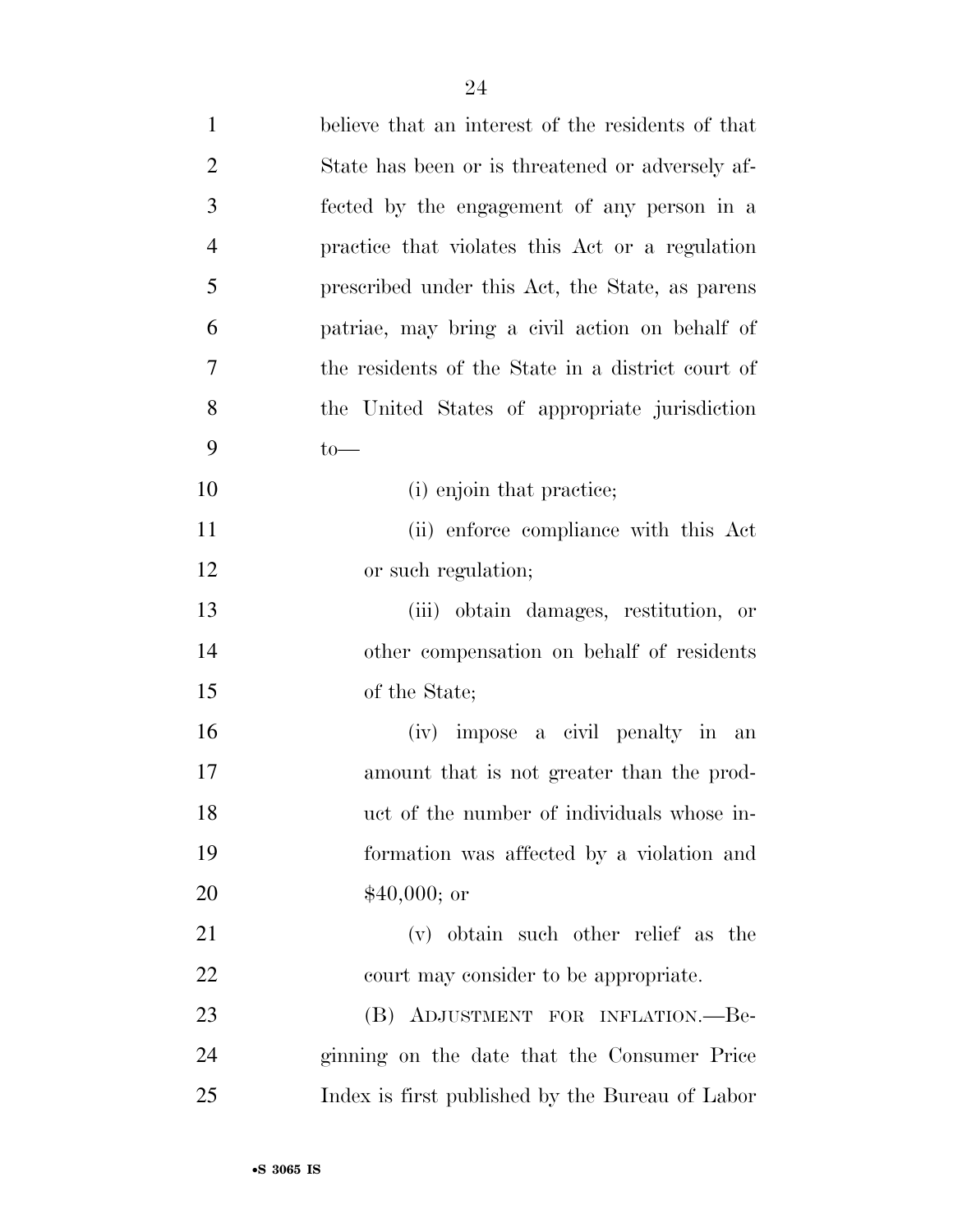| $\mathbf{1}$   | believe that an interest of the residents of that |
|----------------|---------------------------------------------------|
| $\overline{2}$ | State has been or is threatened or adversely af-  |
| 3              | fected by the engagement of any person in a       |
| $\overline{4}$ | practice that violates this Act or a regulation   |
| 5              | prescribed under this Act, the State, as parents  |
| 6              | patriae, may bring a civil action on behalf of    |
| 7              | the residents of the State in a district court of |
| 8              | the United States of appropriate jurisdiction     |
| 9              | $to-$                                             |
| 10             | (i) enjoin that practice;                         |
| 11             | (ii) enforce compliance with this Act             |
| 12             | or such regulation;                               |
| 13             | (iii) obtain damages, restitution, or             |
| 14             | other compensation on behalf of residents         |
| 15             | of the State;                                     |
| 16             | (iv) impose a civil penalty in an                 |
| 17             | amount that is not greater than the prod-         |
| 18             | uct of the number of individuals whose in-        |
| 19             | formation was affected by a violation and         |
| 20             | $$40,000;$ or                                     |
| 21             | (v) obtain such other relief as the               |
| 22             | court may consider to be appropriate.             |
| 23             | (B) ADJUSTMENT FOR INFLATION.--Be-                |
| 24             | ginning on the date that the Consumer Price       |
| 25             | Index is first published by the Bureau of Labor   |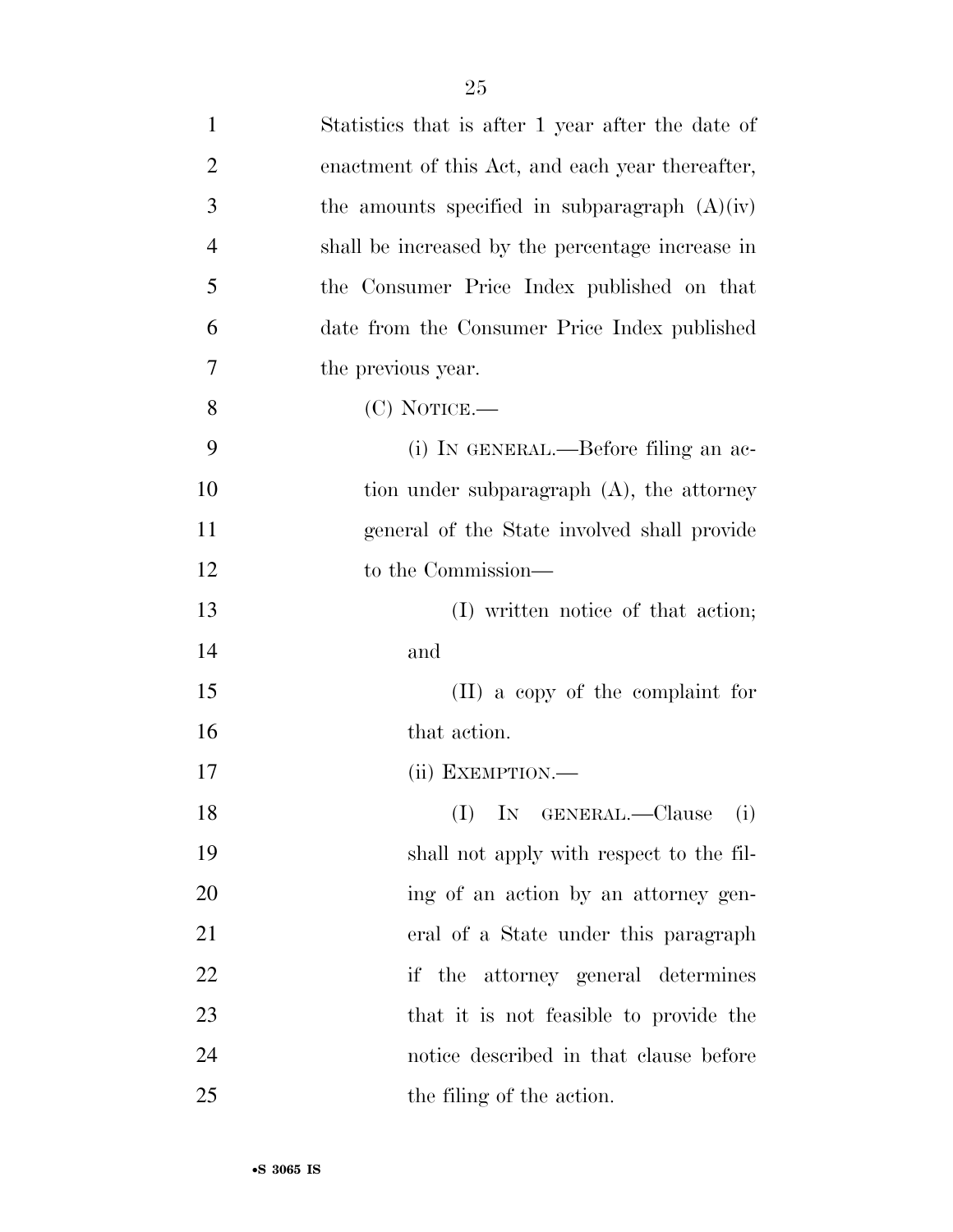| $\mathbf{1}$   | Statistics that is after 1 year after the date of |
|----------------|---------------------------------------------------|
| $\overline{2}$ | enactment of this Act, and each year thereafter,  |
| 3              | the amounts specified in subparagraph $(A)(iv)$   |
| $\overline{4}$ | shall be increased by the percentage increase in  |
| 5              | the Consumer Price Index published on that        |
| 6              | date from the Consumer Price Index published      |
| 7              | the previous year.                                |
| 8              | $(C)$ NOTICE.—                                    |
| 9              | (i) IN GENERAL.—Before filing an ac-              |
| 10             | tion under subparagraph (A), the attorney         |
| 11             | general of the State involved shall provide       |
| 12             | to the Commission—                                |
| 13             | (I) written notice of that action;                |
| 14             | and                                               |
| 15             | $(II)$ a copy of the complaint for                |
| 16             | that action.                                      |
| 17             | (ii) EXEMPTION.-                                  |
| 18             | (I) IN GENERAL.—Clause (i)                        |
| 19             | shall not apply with respect to the fil-          |
| 20             | ing of an action by an attorney gen-              |
| 21             | eral of a State under this paragraph              |
| 22             | if the attorney general determines                |
| 23             | that it is not feasible to provide the            |
| 24             | notice described in that clause before            |
| 25             | the filing of the action.                         |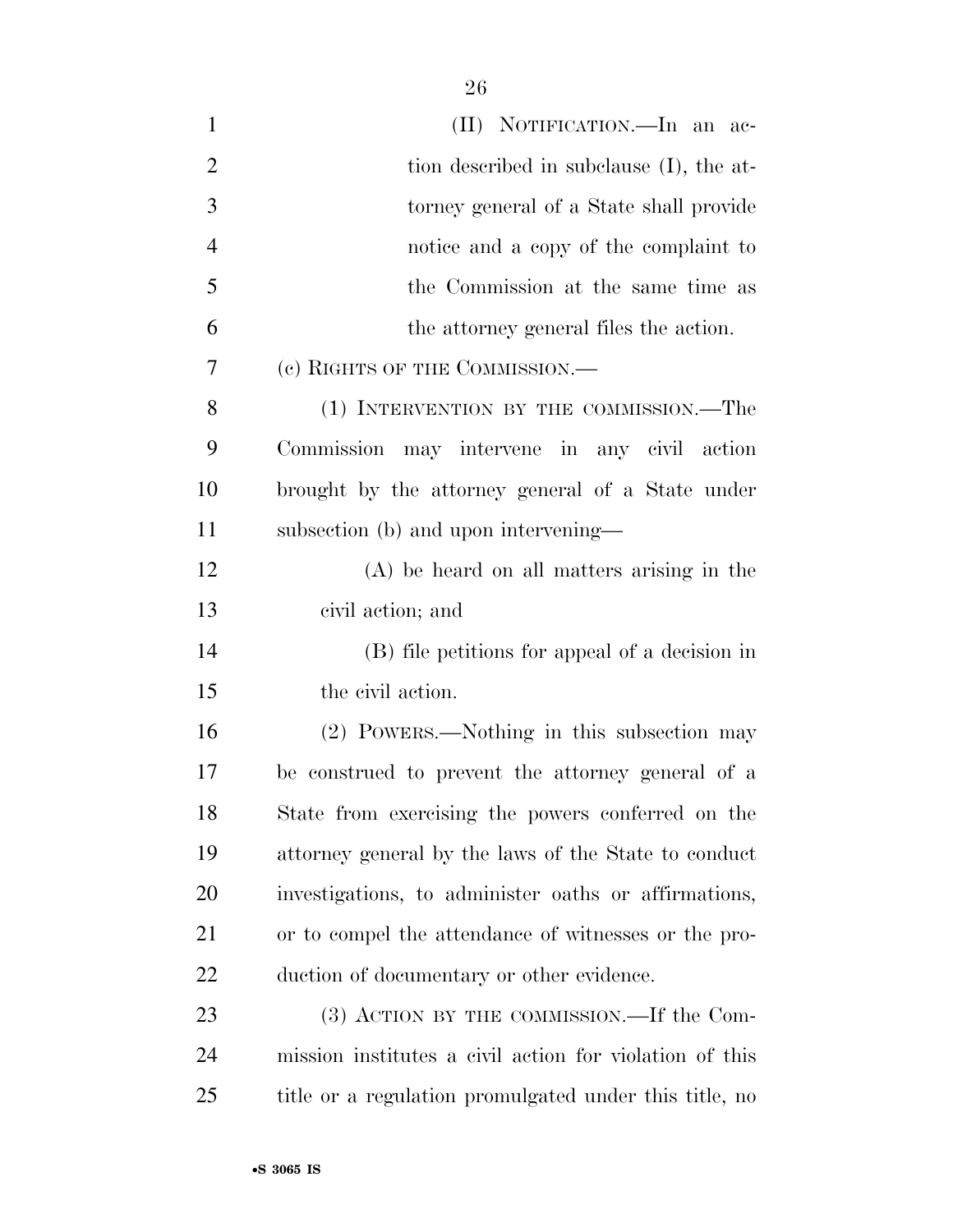| $\mathbf{1}$   | (II) NOTIFICATION.—In an ac-                            |
|----------------|---------------------------------------------------------|
| $\overline{2}$ | tion described in subclause (I), the at-                |
| 3              | torney general of a State shall provide                 |
| $\overline{4}$ | notice and a copy of the complaint to                   |
| 5              | the Commission at the same time as                      |
| 6              | the attorney general files the action.                  |
| 7              | (c) RIGHTS OF THE COMMISSION.—                          |
| 8              | (1) INTERVENTION BY THE COMMISSION.—The                 |
| 9              | Commission may intervene in any civil action            |
| 10             | brought by the attorney general of a State under        |
| 11             | subsection (b) and upon intervening—                    |
| 12             | $(A)$ be heard on all matters arising in the            |
| 13             | civil action; and                                       |
| 14             | (B) file petitions for appeal of a decision in          |
| 15             | the civil action.                                       |
| 16             | (2) POWERS.—Nothing in this subsection may              |
| 17             | be construed to prevent the attorney general of a       |
| 18             | State from exercising the powers conferred on the       |
| 19             | attorney general by the laws of the State to conduct    |
| 20             | investigations, to administer oaths or affirmations,    |
| 21             | or to compel the attendance of witnesses or the pro-    |
| 22             | duction of documentary or other evidence.               |
| 23             | (3) ACTION BY THE COMMISSION.—If the Com-               |
| 24             | mission institutes a civil action for violation of this |
| 25             | title or a regulation promulgated under this title, no  |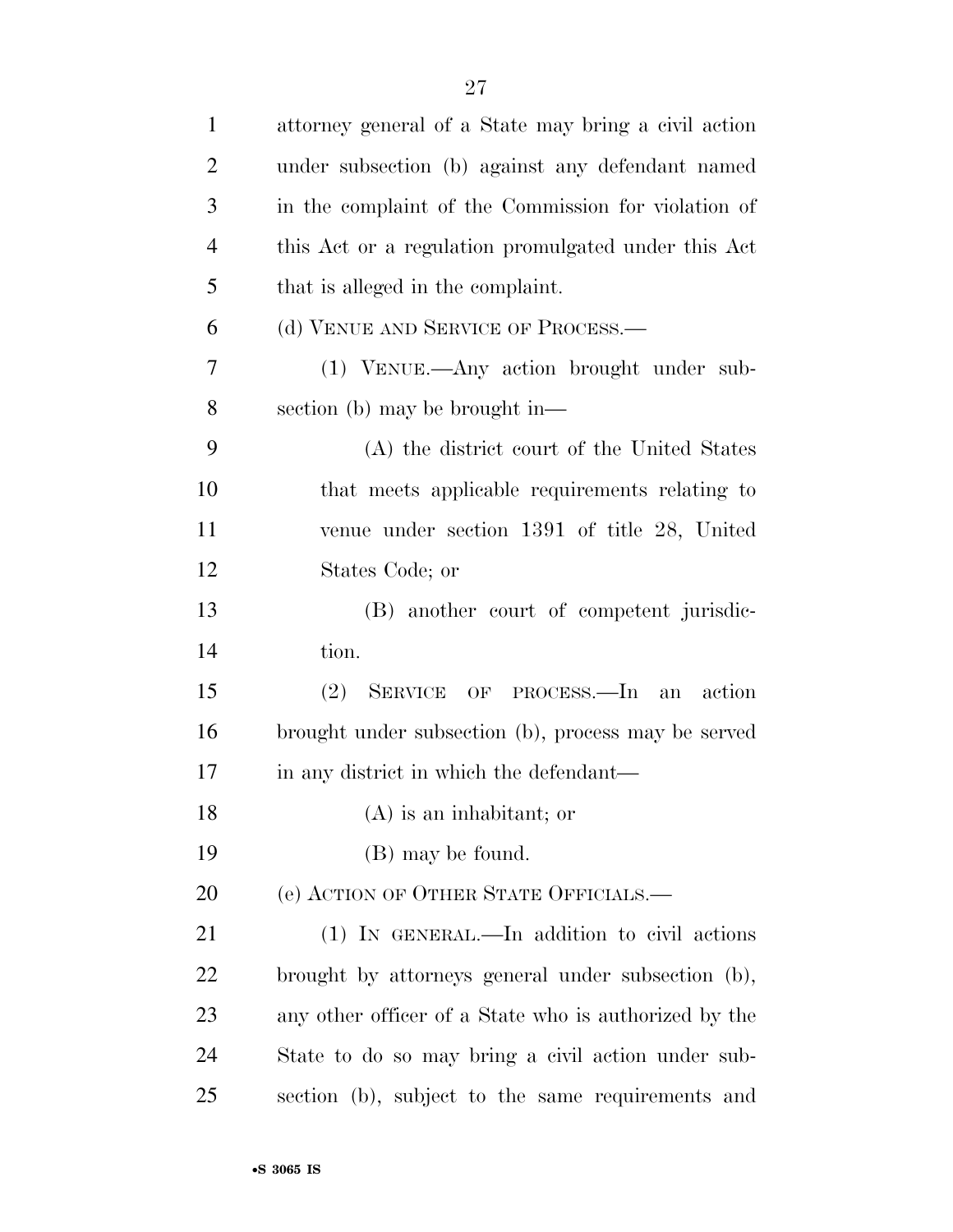| $\mathbf{1}$   | attorney general of a State may bring a civil action  |
|----------------|-------------------------------------------------------|
| $\overline{2}$ | under subsection (b) against any defendant named      |
| 3              | in the complaint of the Commission for violation of   |
| $\overline{4}$ | this Act or a regulation promulgated under this Act   |
| 5              | that is alleged in the complaint.                     |
| 6              | (d) VENUE AND SERVICE OF PROCESS.—                    |
| 7              | (1) VENUE.—Any action brought under sub-              |
| 8              | section (b) may be brought in—                        |
| 9              | (A) the district court of the United States           |
| 10             | that meets applicable requirements relating to        |
| 11             | venue under section 1391 of title 28, United          |
| 12             | States Code; or                                       |
| 13             | (B) another court of competent jurisdic-              |
| 14             | tion.                                                 |
| 15             | (2)<br>SERVICE OF PROCESS.—In<br>action<br>an         |
| 16             | brought under subsection (b), process may be served   |
| 17             | in any district in which the defendant—               |
| 18             | (A) is an inhabitant; or                              |
| 19             | (B) may be found.                                     |
| 20             | (e) ACTION OF OTHER STATE OFFICIALS.—                 |
| 21             | (1) IN GENERAL.—In addition to civil actions          |
| 22             | brought by attorneys general under subsection (b),    |
| 23             | any other officer of a State who is authorized by the |
| 24             | State to do so may bring a civil action under sub-    |
| 25             | section (b), subject to the same requirements and     |